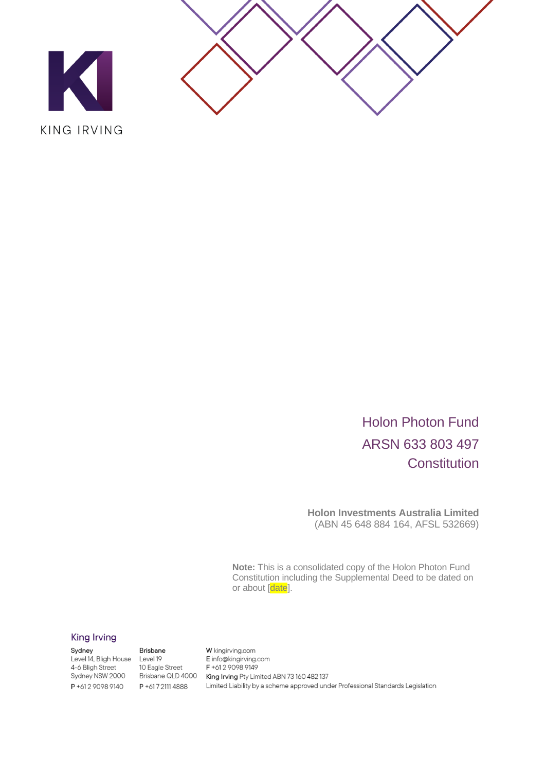



Holon Photon Fund ARSN 633 803 497 **Constitution** 

**Holon Investments Australia Limited** (ABN 45 648 884 164, AFSL 532669)

**Note:** This is a consolidated copy of the Holon Photon Fund Constitution including the Supplemental Deed to be dated on or about [date].

# **King Irving**

Sydney Level 14, Bligh House 4-6 Bligh Street Sydney NSW 2000 P+61290989140

**Brisbane** Level 19 10 Eagle Street Brisbane QLD 4000 P+61721114888

W kingirving.com E info@kingirving.com F +61 2 9098 9149 King Irving Pty Limited ABN 73 160 482 137 Limited Liability by a scheme approved under Professional Standards Legislation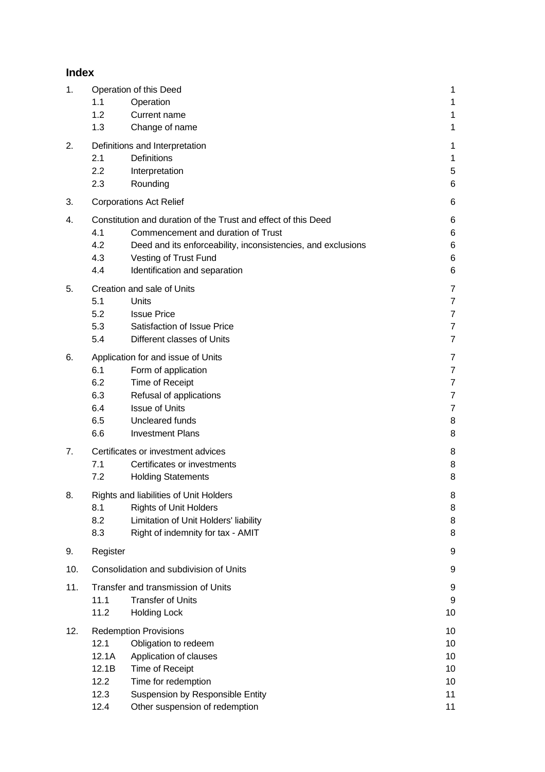# **Index**

| 1.  | Operation of this Deed                                         |                                                              |                |
|-----|----------------------------------------------------------------|--------------------------------------------------------------|----------------|
|     | 1.1                                                            | Operation                                                    | 1              |
|     | 1.2                                                            | Current name                                                 | 1              |
|     | 1.3                                                            | Change of name                                               | 1              |
| 2.  | Definitions and Interpretation                                 |                                                              |                |
|     | 2.1                                                            | <b>Definitions</b>                                           | 1              |
|     | 2.2                                                            | Interpretation                                               | 5              |
|     | 2.3                                                            | Rounding                                                     | 6              |
| 3.  | <b>Corporations Act Relief</b>                                 |                                                              |                |
| 4.  | Constitution and duration of the Trust and effect of this Deed |                                                              |                |
|     | 4.1                                                            | Commencement and duration of Trust                           | 6              |
|     | 4.2                                                            | Deed and its enforceability, inconsistencies, and exclusions | 6              |
|     | 4.3                                                            | Vesting of Trust Fund                                        | 6              |
|     | 4.4                                                            | Identification and separation                                | 6              |
| 5.  |                                                                | Creation and sale of Units                                   | $\overline{7}$ |
|     | 5.1                                                            | Units                                                        | $\overline{7}$ |
|     | 5.2                                                            | <b>Issue Price</b>                                           | $\overline{7}$ |
|     | 5.3                                                            | Satisfaction of Issue Price                                  | $\overline{7}$ |
|     | 5.4                                                            | Different classes of Units                                   | $\overline{7}$ |
| 6.  | Application for and issue of Units                             |                                                              |                |
|     | 6.1                                                            | Form of application                                          | $\overline{7}$ |
|     | 6.2                                                            | Time of Receipt                                              | $\overline{7}$ |
|     | 6.3                                                            | Refusal of applications                                      | $\overline{7}$ |
|     | 6.4                                                            | <b>Issue of Units</b>                                        | $\overline{7}$ |
|     | 6.5                                                            | Uncleared funds                                              | 8              |
|     | 6.6                                                            | <b>Investment Plans</b>                                      | 8              |
| 7.  |                                                                | Certificates or investment advices                           | 8              |
|     | 7.1                                                            | Certificates or investments                                  | 8              |
|     | 7.2                                                            | <b>Holding Statements</b>                                    | 8              |
| 8.  |                                                                | Rights and liabilities of Unit Holders                       | 8              |
|     | 8.1                                                            | <b>Rights of Unit Holders</b>                                | 8              |
|     | 8.2                                                            | Limitation of Unit Holders' liability                        | 8              |
|     | 8.3                                                            | Right of indemnity for tax - AMIT                            | 8              |
| 9.  | Register                                                       |                                                              | 9              |
| 10. | Consolidation and subdivision of Units                         |                                                              | 9              |
| 11. |                                                                | Transfer and transmission of Units                           | 9              |
|     | 11.1                                                           | <b>Transfer of Units</b>                                     | 9              |
|     | 11.2                                                           | <b>Holding Lock</b>                                          | 10             |
| 12. | <b>Redemption Provisions</b>                                   |                                                              |                |
|     | 12.1                                                           | Obligation to redeem                                         | 10             |
|     | 12.1A                                                          | Application of clauses                                       | 10             |
|     | 12.1B                                                          | Time of Receipt                                              | 10             |
|     | 12.2                                                           | Time for redemption                                          | 10             |
|     | 12.3                                                           | Suspension by Responsible Entity                             | 11             |
|     | 12.4                                                           | Other suspension of redemption                               | 11             |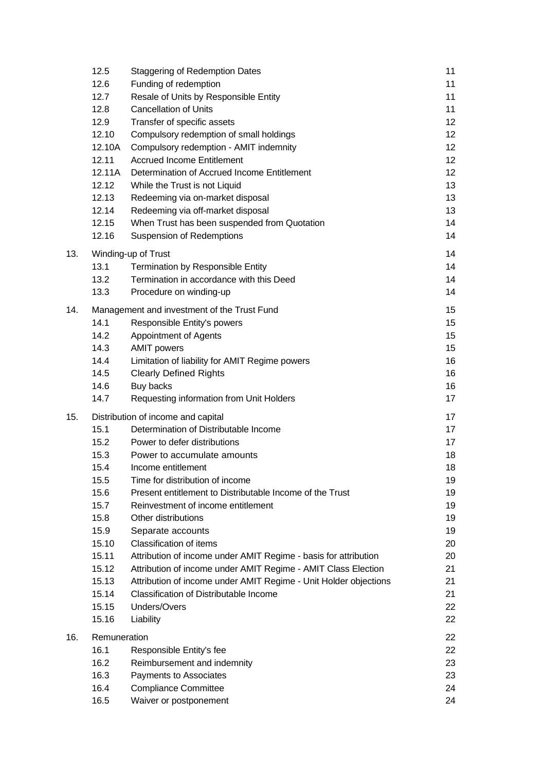|     | 12.5                               | <b>Staggering of Redemption Dates</b>                            | 11              |  |
|-----|------------------------------------|------------------------------------------------------------------|-----------------|--|
|     | 12.6                               | Funding of redemption                                            | 11              |  |
|     | 12.7                               | Resale of Units by Responsible Entity                            | 11              |  |
|     | 12.8                               | <b>Cancellation of Units</b>                                     | 11              |  |
|     | 12.9                               | Transfer of specific assets                                      | 12              |  |
|     | 12.10                              | Compulsory redemption of small holdings                          | 12              |  |
|     | 12.10A                             | Compulsory redemption - AMIT indemnity                           | 12              |  |
|     | 12.11                              | <b>Accrued Income Entitlement</b>                                | 12 <sup>°</sup> |  |
|     | 12.11A                             | Determination of Accrued Income Entitlement                      | 12              |  |
|     | 12.12                              | While the Trust is not Liquid                                    | 13              |  |
|     | 12.13                              | Redeeming via on-market disposal                                 | 13              |  |
|     | 12.14                              | Redeeming via off-market disposal                                | 13              |  |
|     | 12.15                              | When Trust has been suspended from Quotation                     | 14              |  |
|     | 12.16                              | <b>Suspension of Redemptions</b>                                 | 14              |  |
| 13. | Winding-up of Trust                |                                                                  |                 |  |
|     | 13.1                               | Termination by Responsible Entity                                | 14<br>14        |  |
|     | 13.2                               | Termination in accordance with this Deed                         | 14              |  |
|     | 13.3                               | Procedure on winding-up                                          | 14              |  |
|     |                                    |                                                                  |                 |  |
| 14. |                                    | Management and investment of the Trust Fund                      | 15              |  |
|     | 14.1                               | Responsible Entity's powers                                      | 15              |  |
|     | 14.2                               | Appointment of Agents                                            | 15              |  |
|     | 14.3                               | <b>AMIT powers</b>                                               | 15              |  |
|     | 14.4                               | Limitation of liability for AMIT Regime powers                   | 16              |  |
|     | 14.5                               | <b>Clearly Defined Rights</b>                                    | 16              |  |
|     | 14.6                               | Buy backs                                                        | 16              |  |
|     | 14.7                               | Requesting information from Unit Holders                         | 17              |  |
| 15. | Distribution of income and capital |                                                                  |                 |  |
|     | 15.1                               | Determination of Distributable Income                            | 17              |  |
|     | 15.2                               | Power to defer distributions                                     | 17              |  |
|     | 15.3                               | Power to accumulate amounts                                      | 18              |  |
|     | 15.4                               | Income entitlement                                               | 18              |  |
|     | 15.5                               | Time for distribution of income                                  | 19              |  |
|     | 15.6                               | Present entitlement to Distributable Income of the Trust         | 19              |  |
|     | 15.7                               | Reinvestment of income entitlement                               | 19              |  |
|     | 15.8                               | Other distributions                                              | 19              |  |
|     | 15.9                               | Separate accounts                                                | 19              |  |
|     | 15.10                              | Classification of items                                          | 20              |  |
|     | 15.11                              | Attribution of income under AMIT Regime - basis for attribution  | 20              |  |
|     | 15.12                              | Attribution of income under AMIT Regime - AMIT Class Election    | 21              |  |
|     | 15.13                              | Attribution of income under AMIT Regime - Unit Holder objections | 21              |  |
|     | 15.14                              | Classification of Distributable Income                           | 21              |  |
|     | 15.15                              | Unders/Overs                                                     | 22              |  |
|     | 15.16                              | Liability                                                        | 22              |  |
|     |                                    |                                                                  |                 |  |
| 16. | Remuneration<br>16.1               | Responsible Entity's fee                                         | 22<br>22        |  |
|     | 16.2                               | Reimbursement and indemnity                                      | 23              |  |
|     | 16.3                               | Payments to Associates                                           | 23              |  |
|     | 16.4                               | <b>Compliance Committee</b>                                      | 24              |  |
|     | 16.5                               | Waiver or postponement                                           | 24              |  |
|     |                                    |                                                                  |                 |  |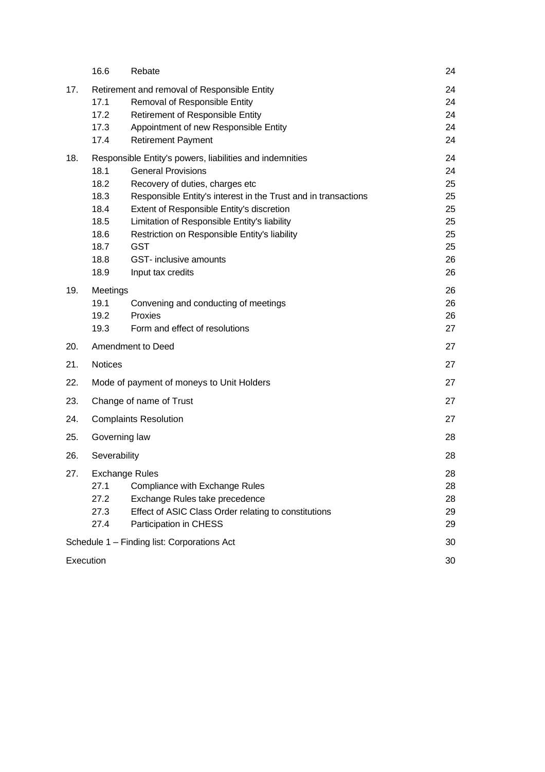|           | 16.6                                                                 | Rebate                                                                                                                                                                                                                                                                                                                                                                                                | 24                                                       |
|-----------|----------------------------------------------------------------------|-------------------------------------------------------------------------------------------------------------------------------------------------------------------------------------------------------------------------------------------------------------------------------------------------------------------------------------------------------------------------------------------------------|----------------------------------------------------------|
| 17.       | 17.1<br>17.2<br>17.3<br>17.4                                         | Retirement and removal of Responsible Entity<br>Removal of Responsible Entity<br>Retirement of Responsible Entity<br>Appointment of new Responsible Entity<br><b>Retirement Payment</b>                                                                                                                                                                                                               | 24<br>24<br>24<br>24<br>24                               |
| 18.       | 18.1<br>18.2<br>18.3<br>18.4<br>18.5<br>18.6<br>18.7<br>18.8<br>18.9 | Responsible Entity's powers, liabilities and indemnities<br><b>General Provisions</b><br>Recovery of duties, charges etc<br>Responsible Entity's interest in the Trust and in transactions<br>Extent of Responsible Entity's discretion<br>Limitation of Responsible Entity's liability<br>Restriction on Responsible Entity's liability<br><b>GST</b><br>GST- inclusive amounts<br>Input tax credits | 24<br>24<br>25<br>25<br>25<br>25<br>25<br>25<br>26<br>26 |
| 19.       | Meetings<br>19.1<br>19.2<br>19.3                                     | Convening and conducting of meetings<br>Proxies<br>Form and effect of resolutions                                                                                                                                                                                                                                                                                                                     | 26<br>26<br>26<br>27                                     |
| 20.       | Amendment to Deed                                                    |                                                                                                                                                                                                                                                                                                                                                                                                       | 27                                                       |
| 21.       | <b>Notices</b>                                                       |                                                                                                                                                                                                                                                                                                                                                                                                       |                                                          |
| 22.       | Mode of payment of moneys to Unit Holders                            |                                                                                                                                                                                                                                                                                                                                                                                                       | 27                                                       |
| 23.       | Change of name of Trust                                              |                                                                                                                                                                                                                                                                                                                                                                                                       | 27                                                       |
| 24.       | <b>Complaints Resolution</b>                                         |                                                                                                                                                                                                                                                                                                                                                                                                       | 27                                                       |
| 25.       | Governing law                                                        |                                                                                                                                                                                                                                                                                                                                                                                                       | 28                                                       |
| 26.       | Severability                                                         |                                                                                                                                                                                                                                                                                                                                                                                                       | 28                                                       |
| 27.       | 27.1<br>27.2<br>27.3<br>27.4                                         | <b>Exchange Rules</b><br>Compliance with Exchange Rules<br>Exchange Rules take precedence<br>Effect of ASIC Class Order relating to constitutions<br>Participation in CHESS                                                                                                                                                                                                                           | 28<br>28<br>28<br>29<br>29                               |
|           |                                                                      | Schedule 1 - Finding list: Corporations Act                                                                                                                                                                                                                                                                                                                                                           | 30                                                       |
| Execution |                                                                      |                                                                                                                                                                                                                                                                                                                                                                                                       | 30                                                       |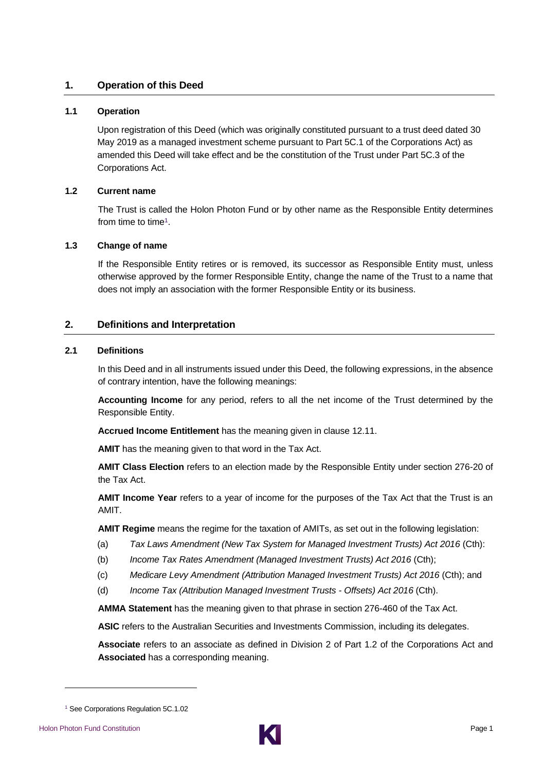# <span id="page-4-0"></span>**1. Operation of this Deed**

## <span id="page-4-1"></span>**1.1 Operation**

Upon registration of this Deed (which was originally constituted pursuant to a trust deed dated 30 May 2019 as a managed investment scheme pursuant to Part 5C.1 of the Corporations Act) as amended this Deed will take effect and be the constitution of the Trust under Part 5C.3 of the Corporations Act.

# <span id="page-4-2"></span>**1.2 Current name**

The Trust is called the Holon Photon Fund or by other name as the Responsible Entity determines from time to time<sup>1</sup>.

#### <span id="page-4-3"></span>**1.3 Change of name**

If the Responsible Entity retires or is removed, its successor as Responsible Entity must, unless otherwise approved by the former Responsible Entity, change the name of the Trust to a name that does not imply an association with the former Responsible Entity or its business.

# <span id="page-4-4"></span>**2. Definitions and Interpretation**

#### <span id="page-4-5"></span>**2.1 Definitions**

In this Deed and in all instruments issued under this Deed, the following expressions, in the absence of contrary intention, have the following meanings:

**Accounting Income** for any period, refers to all the net income of the Trust determined by the Responsible Entity.

**Accrued Income Entitlement** has the meaning given in clause [12.11.](#page-15-3)

**AMIT** has the meaning given to that word in the Tax Act.

**AMIT Class Election** refers to an election made by the Responsible Entity under section 276-20 of the Tax Act.

**AMIT Income Year** refers to a year of income for the purposes of the Tax Act that the Trust is an AMIT.

**AMIT Regime** means the regime for the taxation of AMITs, as set out in the following legislation:

- (a) *Tax Laws Amendment (New Tax System for Managed Investment Trusts) Act 2016* (Cth):
- (b) *Income Tax Rates Amendment (Managed Investment Trusts) Act 2016* (Cth);
- (c) *Medicare Levy Amendment (Attribution Managed Investment Trusts) Act 2016* (Cth); and
- (d) *Income Tax (Attribution Managed Investment Trusts - Offsets) Act 2016* (Cth).

**AMMA Statement** has the meaning given to that phrase in section 276-460 of the Tax Act.

**ASIC** refers to the Australian Securities and Investments Commission, including its delegates.

**Associate** refers to an associate as defined in Division 2 of Part 1.2 of the Corporations Act and **Associated** has a corresponding meaning.



<sup>1</sup> See Corporations Regulation 5C.1.02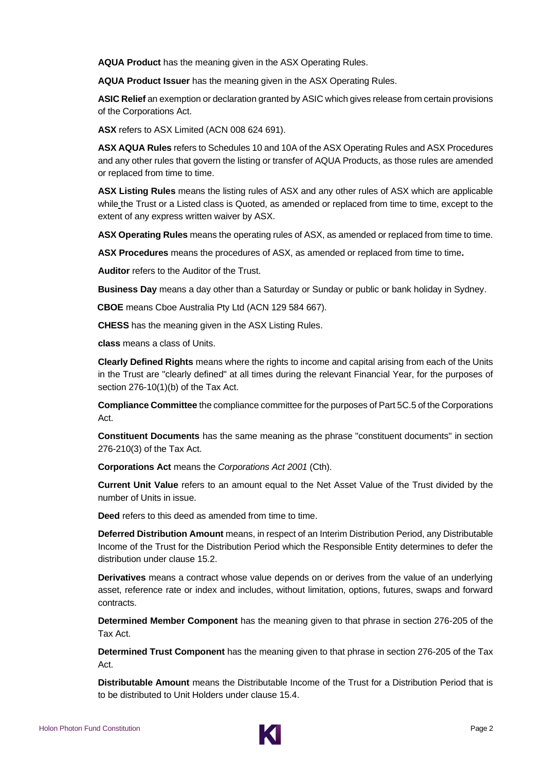**AQUA Product** has the meaning given in the ASX Operating Rules.

**AQUA Product Issuer** has the meaning given in the ASX Operating Rules.

**ASIC Relief** an exemption or declaration granted by ASIC which gives release from certain provisions of the Corporations Act.

**ASX** refers to ASX Limited (ACN 008 624 691).

**ASX AQUA Rules** refers to Schedules 10 and 10A of the ASX Operating Rules and ASX Procedures and any other rules that govern the listing or transfer of AQUA Products, as those rules are amended or replaced from time to time.

**ASX Listing Rules** means the listing rules of ASX and any other rules of ASX which are applicable while the Trust or a Listed class is Quoted, as amended or replaced from time to time, except to the extent of any express written waiver by ASX.

**ASX Operating Rules** means the operating rules of ASX, as amended or replaced from time to time.

**ASX Procedures** means the procedures of ASX, as amended or replaced from time to time**.**

**Auditor** refers to the Auditor of the Trust.

**Business Day** means a day other than a Saturday or Sunday or public or bank holiday in Sydney.

**CBOE** means Cboe Australia Pty Ltd (ACN 129 584 667).

**CHESS** has the meaning given in the ASX Listing Rules.

**class** means a class of Units.

**Clearly Defined Rights** means where the rights to income and capital arising from each of the Units in the Trust are "clearly defined" at all times during the relevant Financial Year, for the purposes of section 276-10(1)(b) of the Tax Act.

**Compliance Committee** the compliance committee for the purposes of Part 5C.5 of the Corporations Act.

**Constituent Documents** has the same meaning as the phrase "constituent documents'' in section 276-210(3) of the Tax Act.

**Corporations Act** means the *Corporations Act 2001* (Cth).

**Current Unit Value** refers to an amount equal to the Net Asset Value of the Trust divided by the number of Units in issue.

**Deed** refers to this deed as amended from time to time.

**Deferred Distribution Amount** means, in respect of an Interim Distribution Period, any Distributable Income of the Trust for the Distribution Period which the Responsible Entity determines to defer the distribution under clause [15.2.](#page-20-3)

**Derivatives** means a contract whose value depends on or derives from the value of an underlying asset, reference rate or index and includes, without limitation, options, futures, swaps and forward contracts.

**Determined Member Component** has the meaning given to that phrase in section 276-205 of the Tax Act.

**Determined Trust Component** has the meaning given to that phrase in section 276-205 of the Tax Act.

**Distributable Amount** means the Distributable Income of the Trust for a Distribution Period that is to be distributed to Unit Holders under clause [15.4.](#page-21-1)

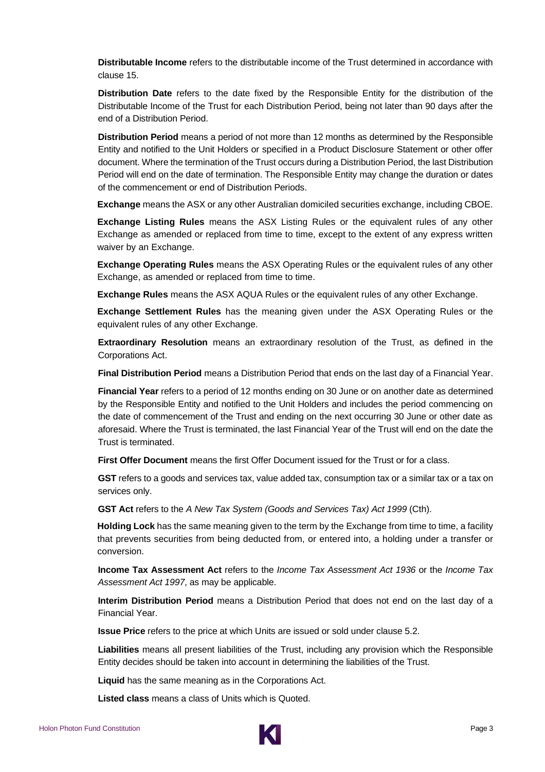**Distributable Income** refers to the distributable income of the Trust determined in accordance with clause [15.](#page-20-1)

**Distribution Date** refers to the date fixed by the Responsible Entity for the distribution of the Distributable Income of the Trust for each Distribution Period, being not later than 90 days after the end of a Distribution Period.

**Distribution Period** means a period of not more than 12 months as determined by the Responsible Entity and notified to the Unit Holders or specified in a Product Disclosure Statement or other offer document. Where the termination of the Trust occurs during a Distribution Period, the last Distribution Period will end on the date of termination. The Responsible Entity may change the duration or dates of the commencement or end of Distribution Periods.

**Exchange** means the ASX or any other Australian domiciled securities exchange, including CBOE.

**Exchange Listing Rules** means the ASX Listing Rules or the equivalent rules of any other Exchange as amended or replaced from time to time, except to the extent of any express written waiver by an Exchange.

**Exchange Operating Rules** means the ASX Operating Rules or the equivalent rules of any other Exchange, as amended or replaced from time to time.

**Exchange Rules** means the ASX AQUA Rules or the equivalent rules of any other Exchange.

**Exchange Settlement Rules** has the meaning given under the ASX Operating Rules or the equivalent rules of any other Exchange.

**Extraordinary Resolution** means an extraordinary resolution of the Trust, as defined in the Corporations Act.

**Final Distribution Period** means a Distribution Period that ends on the last day of a Financial Year.

**Financial Year** refers to a period of 12 months ending on 30 June or on another date as determined by the Responsible Entity and notified to the Unit Holders and includes the period commencing on the date of commencement of the Trust and ending on the next occurring 30 June or other date as aforesaid. Where the Trust is terminated, the last Financial Year of the Trust will end on the date the Trust is terminated.

**First Offer Document** means the first Offer Document issued for the Trust or for a class.

**GST** refers to a goods and services tax, value added tax, consumption tax or a similar tax or a tax on services only.

**GST Act** refers to the *A New Tax System (Goods and Services Tax) Act 1999* (Cth).

**Holding Lock** has the same meaning given to the term by the Exchange from time to time, a facility that prevents securities from being deducted from, or entered into, a holding under a transfer or conversion.

**Income Tax Assessment Act** refers to the *Income Tax Assessment Act 1936* or the *Income Tax Assessment Act 1997*, as may be applicable.

**Interim Distribution Period** means a Distribution Period that does not end on the last day of a Financial Year.

**Issue Price** refers to the price at which Units are issued or sold under clause [5.2.](#page-10-2)

**Liabilities** means all present liabilities of the Trust, including any provision which the Responsible Entity decides should be taken into account in determining the liabilities of the Trust.

**Liquid** has the same meaning as in the Corporations Act.

**Listed class** means a class of Units which is Quoted.

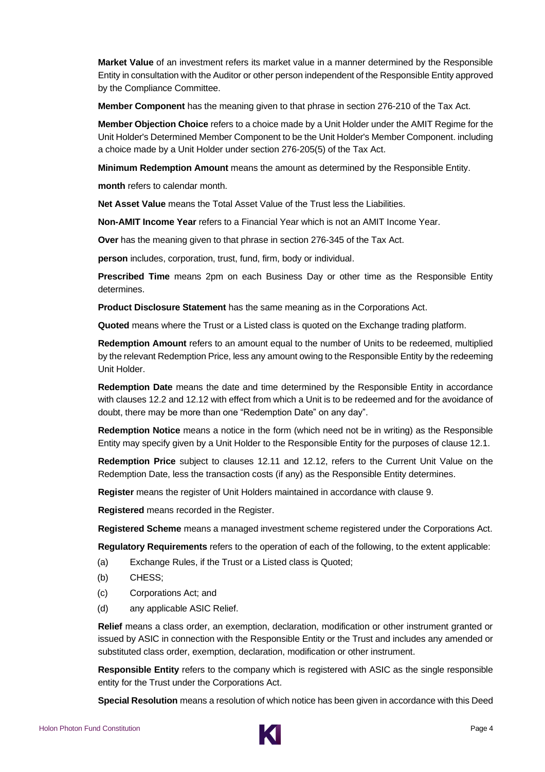**Market Value** of an investment refers its market value in a manner determined by the Responsible Entity in consultation with the Auditor or other person independent of the Responsible Entity approved by the Compliance Committee.

**Member Component** has the meaning given to that phrase in section 276-210 of the Tax Act.

**Member Objection Choice** refers to a choice made by a Unit Holder under the AMIT Regime for the Unit Holder's Determined Member Component to be the Unit Holder's Member Component. including a choice made by a Unit Holder under section 276-205(5) of the Tax Act.

**Minimum Redemption Amount** means the amount as determined by the Responsible Entity.

**month** refers to calendar month.

**Net Asset Value** means the Total Asset Value of the Trust less the Liabilities.

**Non-AMIT Income Year** refers to a Financial Year which is not an AMIT Income Year.

**Over** has the meaning given to that phrase in section 276-345 of the Tax Act.

**person** includes, corporation, trust, fund, firm, body or individual.

**Prescribed Time** means 2pm on each Business Day or other time as the Responsible Entity determines.

**Product Disclosure Statement** has the same meaning as in the Corporations Act.

**Quoted** means where the Trust or a Listed class is quoted on the Exchange trading platform.

**Redemption Amount** refers to an amount equal to the number of Units to be redeemed, multiplied by the relevant Redemption Price, less any amount owing to the Responsible Entity by the redeeming Unit Holder.

**Redemption Date** means the date and time determined by the Responsible Entity in accordance with clause[s 12.2](#page-13-5) and [12.12](#page-16-0) with effect from which a Unit is to be redeemed and for the avoidance of doubt, there may be more than one "Redemption Date" on any day".

**Redemption Notice** means a notice in the form (which need not be in writing) as the Responsible Entity may specify given by a Unit Holder to the Responsible Entity for the purposes of clause [12.1.](#page-13-2)

**Redemption Price** subject to clauses [12.11](#page-15-3) and [12.12,](#page-16-0) refers to the Current Unit Value on the Redemption Date, less the transaction costs (if any) as the Responsible Entity determines.

**Register** means the register of Unit Holders maintained in accordance with clause [9.](#page-12-0)

**Registered** means recorded in the Register.

**Registered Scheme** means a managed investment scheme registered under the Corporations Act.

**Regulatory Requirements** refers to the operation of each of the following, to the extent applicable:

- (a) Exchange Rules, if the Trust or a Listed class is Quoted;
- (b) CHESS;
- (c) Corporations Act; and
- (d) any applicable ASIC Relief.

**Relief** means a class order, an exemption, declaration, modification or other instrument granted or issued by ASIC in connection with the Responsible Entity or the Trust and includes any amended or substituted class order, exemption, declaration, modification or other instrument.

**Responsible Entity** refers to the company which is registered with ASIC as the single responsible entity for the Trust under the Corporations Act.

**Special Resolution** means a resolution of which notice has been given in accordance with this Deed

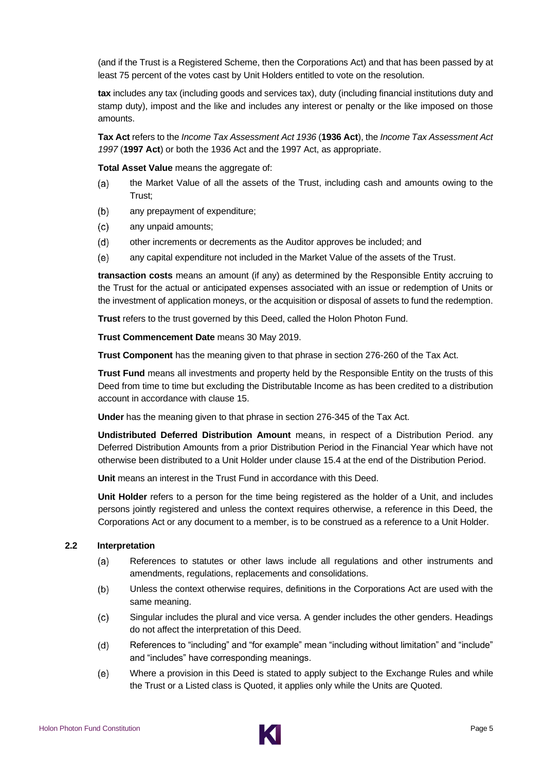(and if the Trust is a Registered Scheme, then the Corporations Act) and that has been passed by at least 75 percent of the votes cast by Unit Holders entitled to vote on the resolution.

**tax** includes any tax (including goods and services tax), duty (including financial institutions duty and stamp duty), impost and the like and includes any interest or penalty or the like imposed on those amounts.

**Tax Act** refers to the *Income Tax Assessment Act 1936* (**1936 Act**), the *Income Tax Assessment Act 1997* (**1997 Act**) or both the 1936 Act and the 1997 Act, as appropriate.

**Total Asset Value** means the aggregate of:

- the Market Value of all the assets of the Trust, including cash and amounts owing to the (a) Trust;
- $(b)$ any prepayment of expenditure;
- $(c)$ any unpaid amounts;
- $(d)$ other increments or decrements as the Auditor approves be included; and
- $(e)$ any capital expenditure not included in the Market Value of the assets of the Trust.

**transaction costs** means an amount (if any) as determined by the Responsible Entity accruing to the Trust for the actual or anticipated expenses associated with an issue or redemption of Units or the investment of application moneys, or the acquisition or disposal of assets to fund the redemption.

**Trust** refers to the trust governed by this Deed, called the Holon Photon Fund.

**Trust Commencement Date** means 30 May 2019.

**Trust Component** has the meaning given to that phrase in section 276-260 of the Tax Act.

**Trust Fund** means all investments and property held by the Responsible Entity on the trusts of this Deed from time to time but excluding the Distributable Income as has been credited to a distribution account in accordance with clause [15.](#page-20-1)

**Under** has the meaning given to that phrase in section 276-345 of the Tax Act.

**Undistributed Deferred Distribution Amount** means, in respect of a Distribution Period. any Deferred Distribution Amounts from a prior Distribution Period in the Financial Year which have not otherwise been distributed to a Unit Holder under clause [15.4](#page-21-1) at the end of the Distribution Period.

**Unit** means an interest in the Trust Fund in accordance with this Deed.

**Unit Holder** refers to a person for the time being registered as the holder of a Unit, and includes persons jointly registered and unless the context requires otherwise, a reference in this Deed, the Corporations Act or any document to a member, is to be construed as a reference to a Unit Holder.

# <span id="page-8-0"></span>**2.2 Interpretation**

- $(a)$ References to statutes or other laws include all regulations and other instruments and amendments, regulations, replacements and consolidations.
- $(b)$ Unless the context otherwise requires, definitions in the Corporations Act are used with the same meaning.
- Singular includes the plural and vice versa. A gender includes the other genders. Headings  $(c)$ do not affect the interpretation of this Deed.
- References to "including" and "for example" mean "including without limitation" and "include"  $(d)$ and "includes" have corresponding meanings.
- $(e)$ Where a provision in this Deed is stated to apply subject to the Exchange Rules and while the Trust or a Listed class is Quoted, it applies only while the Units are Quoted.

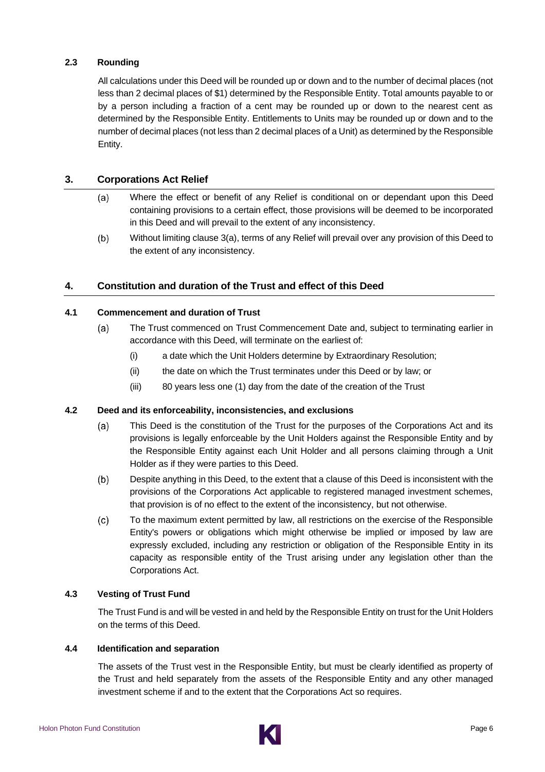# <span id="page-9-0"></span>**2.3 Rounding**

All calculations under this Deed will be rounded up or down and to the number of decimal places (not less than 2 decimal places of \$1) determined by the Responsible Entity. Total amounts payable to or by a person including a fraction of a cent may be rounded up or down to the nearest cent as determined by the Responsible Entity. Entitlements to Units may be rounded up or down and to the number of decimal places (not less than 2 decimal places of a Unit) as determined by the Responsible Entity.

# <span id="page-9-7"></span><span id="page-9-1"></span>**3. Corporations Act Relief**

- Where the effect or benefit of any Relief is conditional on or dependant upon this Deed  $(a)$ containing provisions to a certain effect, those provisions will be deemed to be incorporated in this Deed and will prevail to the extent of any inconsistency.
- $(b)$ Without limiting clause [3\(a\),](#page-9-7) terms of any Relief will prevail over any provision of this Deed to the extent of any inconsistency.

# <span id="page-9-2"></span>**4. Constitution and duration of the Trust and effect of this Deed**

# <span id="page-9-3"></span>**4.1 Commencement and duration of Trust**

- $(a)$ The Trust commenced on Trust Commencement Date and, subject to terminating earlier in accordance with this Deed, will terminate on the earliest of:
	- (i) a date which the Unit Holders determine by Extraordinary Resolution;
	- (ii) the date on which the Trust terminates under this Deed or by law; or
	- (iii) 80 years less one (1) day from the date of the creation of the Trust

# <span id="page-9-4"></span>**4.2 Deed and its enforceability, inconsistencies, and exclusions**

- This Deed is the constitution of the Trust for the purposes of the Corporations Act and its  $(a)$ provisions is legally enforceable by the Unit Holders against the Responsible Entity and by the Responsible Entity against each Unit Holder and all persons claiming through a Unit Holder as if they were parties to this Deed.
- $(b)$ Despite anything in this Deed, to the extent that a clause of this Deed is inconsistent with the provisions of the Corporations Act applicable to registered managed investment schemes, that provision is of no effect to the extent of the inconsistency, but not otherwise.
- $(c)$ To the maximum extent permitted by law, all restrictions on the exercise of the Responsible Entity's powers or obligations which might otherwise be implied or imposed by law are expressly excluded, including any restriction or obligation of the Responsible Entity in its capacity as responsible entity of the Trust arising under any legislation other than the Corporations Act.

# <span id="page-9-5"></span>**4.3 Vesting of Trust Fund**

The Trust Fund is and will be vested in and held by the Responsible Entity on trust for the Unit Holders on the terms of this Deed.

# <span id="page-9-6"></span>**4.4 Identification and separation**

The assets of the Trust vest in the Responsible Entity, but must be clearly identified as property of the Trust and held separately from the assets of the Responsible Entity and any other managed investment scheme if and to the extent that the Corporations Act so requires.

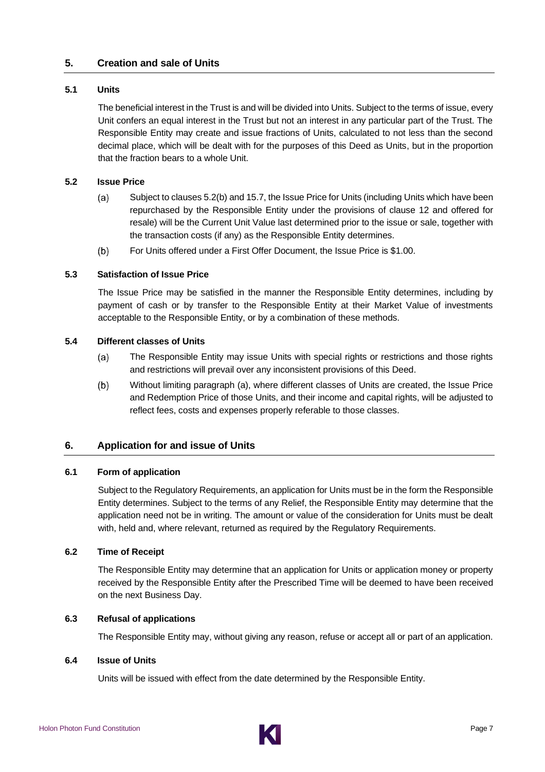# <span id="page-10-0"></span>**5. Creation and sale of Units**

## <span id="page-10-1"></span>**5.1 Units**

The beneficial interest in the Trust is and will be divided into Units. Subject to the terms of issue, every Unit confers an equal interest in the Trust but not an interest in any particular part of the Trust. The Responsible Entity may create and issue fractions of Units, calculated to not less than the second decimal place, which will be dealt with for the purposes of this Deed as Units, but in the proportion that the fraction bears to a whole Unit.

## <span id="page-10-2"></span>**5.2 Issue Price**

- $(a)$ Subject to clauses 5.2(b) and 15.7, the Issue Price for Units (including Units which have been repurchased by the Responsible Entity under the provisions of clause [12](#page-13-1) and offered for resale) will be the Current Unit Value last determined prior to the issue or sale, together with the transaction costs (if any) as the Responsible Entity determines.
- $(b)$ For Units offered under a First Offer Document, the Issue Price is \$1.00.

#### <span id="page-10-3"></span>**5.3 Satisfaction of Issue Price**

The Issue Price may be satisfied in the manner the Responsible Entity determines, including by payment of cash or by transfer to the Responsible Entity at their Market Value of investments acceptable to the Responsible Entity, or by a combination of these methods.

## <span id="page-10-10"></span><span id="page-10-4"></span>**5.4 Different classes of Units**

- $(a)$ The Responsible Entity may issue Units with special rights or restrictions and those rights and restrictions will prevail over any inconsistent provisions of this Deed.
- $(b)$ Without limiting paragraph [\(a\),](#page-10-10) where different classes of Units are created, the Issue Price and Redemption Price of those Units, and their income and capital rights, will be adjusted to reflect fees, costs and expenses properly referable to those classes.

# <span id="page-10-5"></span>**6. Application for and issue of Units**

# <span id="page-10-6"></span>**6.1 Form of application**

Subject to the Regulatory Requirements, an application for Units must be in the form the Responsible Entity determines. Subject to the terms of any Relief, the Responsible Entity may determine that the application need not be in writing. The amount or value of the consideration for Units must be dealt with, held and, where relevant, returned as required by the Regulatory Requirements.

# <span id="page-10-7"></span>**6.2 Time of Receipt**

The Responsible Entity may determine that an application for Units or application money or property received by the Responsible Entity after the Prescribed Time will be deemed to have been received on the next Business Day.

## <span id="page-10-8"></span>**6.3 Refusal of applications**

The Responsible Entity may, without giving any reason, refuse or accept all or part of an application.

#### <span id="page-10-9"></span>**6.4 Issue of Units**

Units will be issued with effect from the date determined by the Responsible Entity.

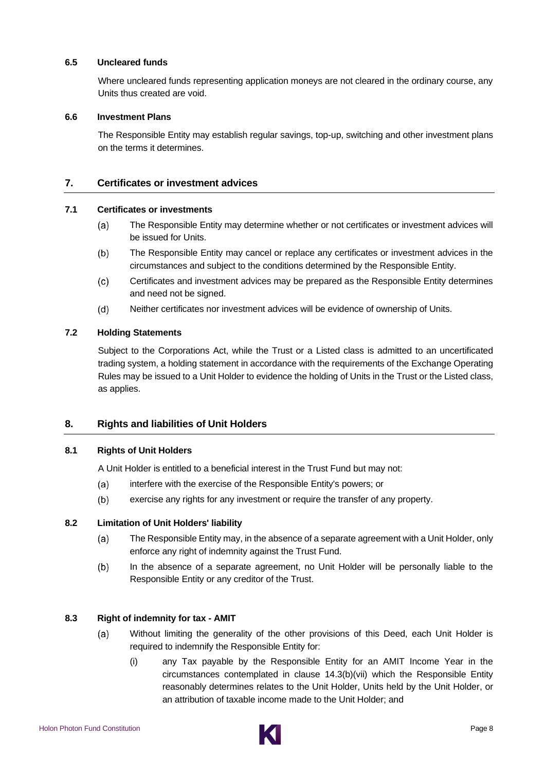# <span id="page-11-0"></span>**6.5 Uncleared funds**

Where uncleared funds representing application moneys are not cleared in the ordinary course, any Units thus created are void.

## <span id="page-11-1"></span>**6.6 Investment Plans**

The Responsible Entity may establish regular savings, top-up, switching and other investment plans on the terms it determines.

# <span id="page-11-2"></span>**7. Certificates or investment advices**

## <span id="page-11-3"></span>**7.1 Certificates or investments**

- $(a)$ The Responsible Entity may determine whether or not certificates or investment advices will be issued for Units.
- $(b)$ The Responsible Entity may cancel or replace any certificates or investment advices in the circumstances and subject to the conditions determined by the Responsible Entity.
- $(c)$ Certificates and investment advices may be prepared as the Responsible Entity determines and need not be signed.
- Neither certificates nor investment advices will be evidence of ownership of Units.  $(d)$

# <span id="page-11-4"></span>**7.2 Holding Statements**

Subject to the Corporations Act, while the Trust or a Listed class is admitted to an uncertificated trading system, a holding statement in accordance with the requirements of the Exchange Operating Rules may be issued to a Unit Holder to evidence the holding of Units in the Trust or the Listed class, as applies.

# <span id="page-11-5"></span>**8. Rights and liabilities of Unit Holders**

#### <span id="page-11-6"></span>**8.1 Rights of Unit Holders**

A Unit Holder is entitled to a beneficial interest in the Trust Fund but may not:

- $(a)$ interfere with the exercise of the Responsible Entity's powers; or
- $(b)$ exercise any rights for any investment or require the transfer of any property.

# <span id="page-11-7"></span>**8.2 Limitation of Unit Holders' liability**

- $(a)$ The Responsible Entity may, in the absence of a separate agreement with a Unit Holder, only enforce any right of indemnity against the Trust Fund.
- $(b)$ In the absence of a separate agreement, no Unit Holder will be personally liable to the Responsible Entity or any creditor of the Trust.

# <span id="page-11-10"></span><span id="page-11-9"></span><span id="page-11-8"></span>**8.3 Right of indemnity for tax - AMIT**

- Without limiting the generality of the other provisions of this Deed, each Unit Holder is  $(a)$ required to indemnify the Responsible Entity for:
	- (i) any Tax payable by the Responsible Entity for an AMIT Income Year in the circumstances contemplated in clause [14.3\(b\)\(vii\)](#page-19-3) which the Responsible Entity reasonably determines relates to the Unit Holder, Units held by the Unit Holder, or an attribution of taxable income made to the Unit Holder; and

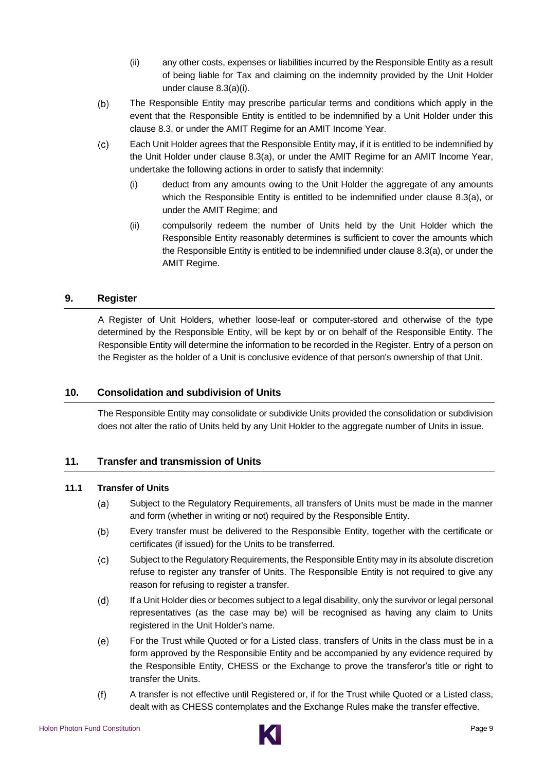- (ii) any other costs, expenses or liabilities incurred by the Responsible Entity as a result of being liable for Tax and claiming on the indemnity provided by the Unit Holder under clause [8.3\(a\)\(i\).](#page-11-9)
- $(b)$ The Responsible Entity may prescribe particular terms and conditions which apply in the event that the Responsible Entity is entitled to be indemnified by a Unit Holder under this clause [8.3,](#page-11-8) or under the AMIT Regime for an AMIT Income Year.
- $(c)$ Each Unit Holder agrees that the Responsible Entity may, if it is entitled to be indemnified by the Unit Holder under clause [8.3\(a\),](#page-11-10) or under the AMIT Regime for an AMIT Income Year, undertake the following actions in order to satisfy that indemnity:
	- (i) deduct from any amounts owing to the Unit Holder the aggregate of any amounts which the Responsible Entity is entitled to be indemnified under clause [8.3\(a\),](#page-11-10) or under the AMIT Regime; and
	- (ii) compulsorily redeem the number of Units held by the Unit Holder which the Responsible Entity reasonably determines is sufficient to cover the amounts which the Responsible Entity is entitled to be indemnified under clause [8.3\(a\),](#page-11-10) or under the AMIT Regime.

# <span id="page-12-0"></span>**9. Register**

A Register of Unit Holders, whether loose-leaf or computer-stored and otherwise of the type determined by the Responsible Entity, will be kept by or on behalf of the Responsible Entity. The Responsible Entity will determine the information to be recorded in the Register. Entry of a person on the Register as the holder of a Unit is conclusive evidence of that person's ownership of that Unit.

# <span id="page-12-1"></span>**10. Consolidation and subdivision of Units**

The Responsible Entity may consolidate or subdivide Units provided the consolidation or subdivision does not alter the ratio of Units held by any Unit Holder to the aggregate number of Units in issue.

# <span id="page-12-2"></span>**11. Transfer and transmission of Units**

# <span id="page-12-3"></span>**11.1 Transfer of Units**

- $(a)$ Subject to the Regulatory Requirements, all transfers of Units must be made in the manner and form (whether in writing or not) required by the Responsible Entity.
- $(b)$ Every transfer must be delivered to the Responsible Entity, together with the certificate or certificates (if issued) for the Units to be transferred.
- $(c)$ Subject to the Regulatory Requirements, the Responsible Entity may in its absolute discretion refuse to register any transfer of Units. The Responsible Entity is not required to give any reason for refusing to register a transfer.
- $(d)$ If a Unit Holder dies or becomes subject to a legal disability, only the survivor or legal personal representatives (as the case may be) will be recognised as having any claim to Units registered in the Unit Holder's name.
- $(e)$ For the Trust while Quoted or for a Listed class, transfers of Units in the class must be in a form approved by the Responsible Entity and be accompanied by any evidence required by the Responsible Entity, CHESS or the Exchange to prove the transferor's title or right to transfer the Units.
- A transfer is not effective until Registered or, if for the Trust while Quoted or a Listed class,  $(f)$ dealt with as CHESS contemplates and the Exchange Rules make the transfer effective.

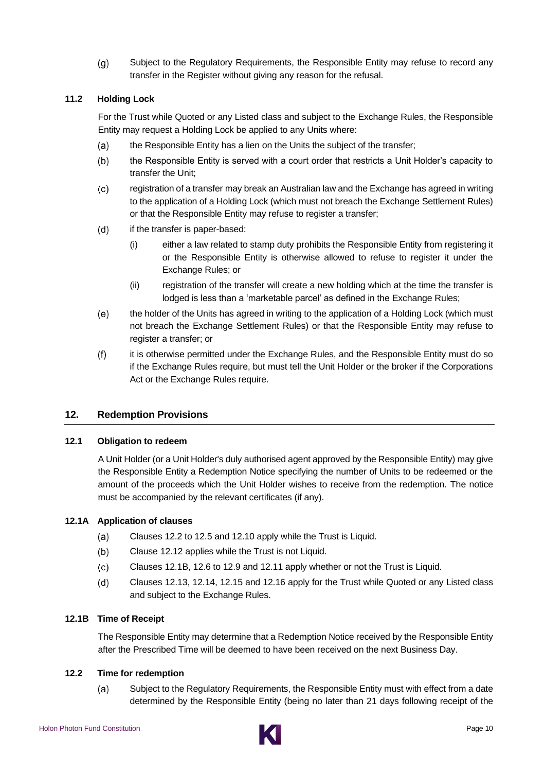<span id="page-13-6"></span> $(g)$ Subject to the Regulatory Requirements, the Responsible Entity may refuse to record any transfer in the Register without giving any reason for the refusal.

# <span id="page-13-0"></span>**11.2 Holding Lock**

For the Trust while Quoted or any Listed class and subject to the Exchange Rules, the Responsible Entity may request a Holding Lock be applied to any Units where:

- $(a)$ the Responsible Entity has a lien on the Units the subject of the transfer;
- $(b)$ the Responsible Entity is served with a court order that restricts a Unit Holder's capacity to transfer the Unit;
- $(c)$ registration of a transfer may break an Australian law and the Exchange has agreed in writing to the application of a Holding Lock (which must not breach the Exchange Settlement Rules) or that the Responsible Entity may refuse to register a transfer;
- $(d)$ if the transfer is paper-based:
	- (i) either a law related to stamp duty prohibits the Responsible Entity from registering it or the Responsible Entity is otherwise allowed to refuse to register it under the Exchange Rules; or
	- (ii) registration of the transfer will create a new holding which at the time the transfer is lodged is less than a 'marketable parcel' as defined in the Exchange Rules;
- (e) the holder of the Units has agreed in writing to the application of a Holding Lock (which must not breach the Exchange Settlement Rules) or that the Responsible Entity may refuse to register a transfer; or
- $(f)$ it is otherwise permitted under the Exchange Rules, and the Responsible Entity must do so if the Exchange Rules require, but must tell the Unit Holder or the broker if the Corporations Act or the Exchange Rules require.

# <span id="page-13-1"></span>**12. Redemption Provisions**

# <span id="page-13-2"></span>**12.1 Obligation to redeem**

A Unit Holder (or a Unit Holder's duly authorised agent approved by the Responsible Entity) may give the Responsible Entity a Redemption Notice specifying the number of Units to be redeemed or the amount of the proceeds which the Unit Holder wishes to receive from the redemption. The notice must be accompanied by the relevant certificates (if any).

# <span id="page-13-3"></span>**12.1A Application of clauses**

- $(a)$ Clauses [12.2](#page-13-5) to [12.5](#page-14-2) and [12.10](#page-15-1) apply while the Trust is Liquid.
- $(b)$ Clause [12.12](#page-16-0) applies while the Trust is not Liquid.
- Clauses [12.1B,](#page-13-4) [12.6](#page-14-3) to [12.9](#page-15-0) and [12.11](#page-15-3) apply whether or not the Trust is Liquid.  $(c)$
- $(d)$ Clauses [12.13,](#page-16-1) [12.14,](#page-16-2) [12.15](#page-17-0) and [12.16](#page-17-1) apply for the Trust while Quoted or any Listed class and subject to the Exchange Rules.

## <span id="page-13-4"></span>**12.1B Time of Receipt**

The Responsible Entity may determine that a Redemption Notice received by the Responsible Entity after the Prescribed Time will be deemed to have been received on the next Business Day.

# <span id="page-13-5"></span>**12.2 Time for redemption**

Subject to the Regulatory Requirements, the Responsible Entity must with effect from a date  $(a)$ determined by the Responsible Entity (being no later than 21 days following receipt of the

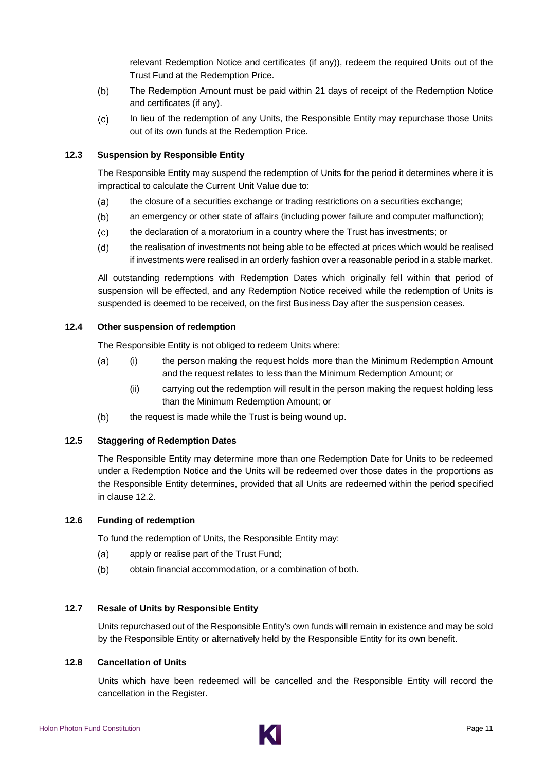relevant Redemption Notice and certificates (if any)), redeem the required Units out of the Trust Fund at the Redemption Price.

- $(b)$ The Redemption Amount must be paid within 21 days of receipt of the Redemption Notice and certificates (if any).
- In lieu of the redemption of any Units, the Responsible Entity may repurchase those Units  $(c)$ out of its own funds at the Redemption Price.

## <span id="page-14-0"></span>**12.3 Suspension by Responsible Entity**

The Responsible Entity may suspend the redemption of Units for the period it determines where it is impractical to calculate the Current Unit Value due to:

- the closure of a securities exchange or trading restrictions on a securities exchange;  $(a)$
- $(b)$ an emergency or other state of affairs (including power failure and computer malfunction);
- $(c)$ the declaration of a moratorium in a country where the Trust has investments; or
- $(d)$ the realisation of investments not being able to be effected at prices which would be realised if investments were realised in an orderly fashion over a reasonable period in a stable market.

All outstanding redemptions with Redemption Dates which originally fell within that period of suspension will be effected, and any Redemption Notice received while the redemption of Units is suspended is deemed to be received, on the first Business Day after the suspension ceases.

# <span id="page-14-1"></span>**12.4 Other suspension of redemption**

The Responsible Entity is not obliged to redeem Units where:

- (i) the person making the request holds more than the Minimum Redemption Amount  $(a)$ and the request relates to less than the Minimum Redemption Amount; or
	- (ii) carrying out the redemption will result in the person making the request holding less than the Minimum Redemption Amount; or
- $(b)$ the request is made while the Trust is being wound up.

# <span id="page-14-2"></span>**12.5 Staggering of Redemption Dates**

The Responsible Entity may determine more than one Redemption Date for Units to be redeemed under a Redemption Notice and the Units will be redeemed over those dates in the proportions as the Responsible Entity determines, provided that all Units are redeemed within the period specified in clause [12.2.](#page-13-5)

#### <span id="page-14-3"></span>**12.6 Funding of redemption**

To fund the redemption of Units, the Responsible Entity may:

- apply or realise part of the Trust Fund;  $(a)$
- $(b)$ obtain financial accommodation, or a combination of both.

# <span id="page-14-4"></span>**12.7 Resale of Units by Responsible Entity**

Units repurchased out of the Responsible Entity's own funds will remain in existence and may be sold by the Responsible Entity or alternatively held by the Responsible Entity for its own benefit.

# <span id="page-14-5"></span>**12.8 Cancellation of Units**

Units which have been redeemed will be cancelled and the Responsible Entity will record the cancellation in the Register.

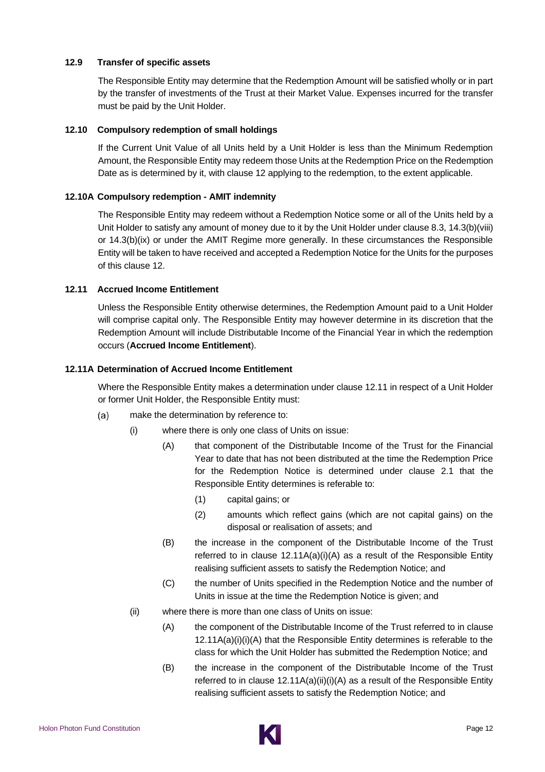# <span id="page-15-0"></span>**12.9 Transfer of specific assets**

The Responsible Entity may determine that the Redemption Amount will be satisfied wholly or in part by the transfer of investments of the Trust at their Market Value. Expenses incurred for the transfer must be paid by the Unit Holder.

#### <span id="page-15-1"></span>**12.10 Compulsory redemption of small holdings**

If the Current Unit Value of all Units held by a Unit Holder is less than the Minimum Redemption Amount, the Responsible Entity may redeem those Units at the Redemption Price on the Redemption Date as is determined by it, with clause [12](#page-13-1) applying to the redemption, to the extent applicable.

## <span id="page-15-2"></span>**12.10A Compulsory redemption - AMIT indemnity**

The Responsible Entity may redeem without a Redemption Notice some or all of the Units held by a Unit Holder to satisfy any amount of money due to it by the Unit Holder under clause [8.3,](#page-11-8) [14.3\(b\)\(viii\)](#page-19-4) or [14.3\(b\)\(ix\)](#page-19-5) or under the AMIT Regime more generally. In these circumstances the Responsible Entity will be taken to have received and accepted a Redemption Notice for the Units for the purposes of this clause [12.](#page-13-1)

### <span id="page-15-3"></span>**12.11 Accrued Income Entitlement**

Unless the Responsible Entity otherwise determines, the Redemption Amount paid to a Unit Holder will comprise capital only. The Responsible Entity may however determine in its discretion that the Redemption Amount will include Distributable Income of the Financial Year in which the redemption occurs (**Accrued Income Entitlement**).

#### <span id="page-15-4"></span>**12.11A Determination of Accrued Income Entitlement**

Where the Responsible Entity makes a determination under clause [12.11](#page-15-3) in respect of a Unit Holder or former Unit Holder, the Responsible Entity must:

- <span id="page-15-8"></span><span id="page-15-7"></span><span id="page-15-6"></span><span id="page-15-5"></span> $(a)$ make the determination by reference to:
	- (i) where there is only one class of Units on issue:
		- (A) that component of the Distributable Income of the Trust for the Financial Year to date that has not been distributed at the time the Redemption Price for the Redemption Notice is determined under clause [2.1](#page-4-5) that the Responsible Entity determines is referable to:
			- (1) capital gains; or
			- (2) amounts which reflect gains (which are not capital gains) on the disposal or realisation of assets; and
		- (B) the increase in the component of the Distributable Income of the Trust referred to in clause [12.11A](#page-15-4)[\(a\)](#page-15-5)[\(i\)](#page-15-6)[\(A\)](#page-15-7) as a result of the Responsible Entity realising sufficient assets to satisfy the Redemption Notice; and
		- (C) the number of Units specified in the Redemption Notice and the number of Units in issue at the time the Redemption Notice is given; and
		- (ii) where there is more than one class of Units on issue:
			- (A) the component of the Distributable Income of the Trust referred to in clause [12.11A](#page-15-4)[\(a\)](#page-15-5)[\(i\)](#page-15-6)[\(i\)\(A\)](#page-15-7) that the Responsible Entity determines is referable to the class for which the Unit Holder has submitted the Redemption Notice; and
			- (B) the increase in the component of the Distributable Income of the Trust referred to in clause  $12.11A(a)(ii)(i)(A)$  $12.11A(a)(ii)(i)(A)$  $12.11A(a)(ii)(i)(A)$  $12.11A(a)(ii)(i)(A)$  as a result of the Responsible Entity realising sufficient assets to satisfy the Redemption Notice; and

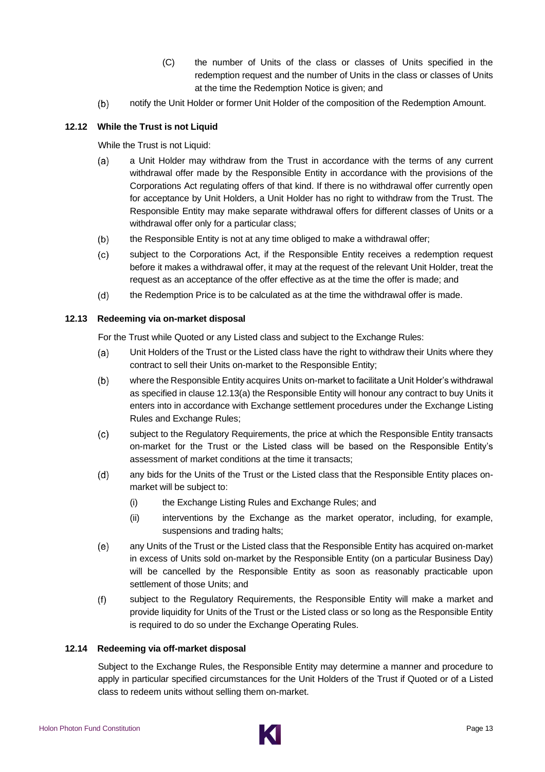- (C) the number of Units of the class or classes of Units specified in the redemption request and the number of Units in the class or classes of Units at the time the Redemption Notice is given; and
- $(b)$ notify the Unit Holder or former Unit Holder of the composition of the Redemption Amount.

# <span id="page-16-0"></span>**12.12 While the Trust is not Liquid**

While the Trust is not Liquid:

- a Unit Holder may withdraw from the Trust in accordance with the terms of any current  $(a)$ withdrawal offer made by the Responsible Entity in accordance with the provisions of the Corporations Act regulating offers of that kind. If there is no withdrawal offer currently open for acceptance by Unit Holders, a Unit Holder has no right to withdraw from the Trust. The Responsible Entity may make separate withdrawal offers for different classes of Units or a withdrawal offer only for a particular class;
- the Responsible Entity is not at any time obliged to make a withdrawal offer;  $(b)$
- $(c)$ subject to the Corporations Act, if the Responsible Entity receives a redemption request before it makes a withdrawal offer, it may at the request of the relevant Unit Holder, treat the request as an acceptance of the offer effective as at the time the offer is made; and
- $(d)$ the Redemption Price is to be calculated as at the time the withdrawal offer is made.

# <span id="page-16-3"></span><span id="page-16-1"></span>**12.13 Redeeming via on-market disposal**

For the Trust while Quoted or any Listed class and subject to the Exchange Rules:

- Unit Holders of the Trust or the Listed class have the right to withdraw their Units where they  $(a)$ contract to sell their Units on-market to the Responsible Entity;
- $(b)$ where the Responsible Entity acquires Units on-market to facilitate a Unit Holder's withdrawal as specified in clause [12.13\(a\)](#page-16-3) the Responsible Entity will honour any contract to buy Units it enters into in accordance with Exchange settlement procedures under the Exchange Listing Rules and Exchange Rules;
- $(c)$ subject to the Regulatory Requirements, the price at which the Responsible Entity transacts on-market for the Trust or the Listed class will be based on the Responsible Entity's assessment of market conditions at the time it transacts;
- $(d)$ any bids for the Units of the Trust or the Listed class that the Responsible Entity places onmarket will be subject to:
	- (i) the Exchange Listing Rules and Exchange Rules; and
	- (ii) interventions by the Exchange as the market operator, including, for example, suspensions and trading halts;
- $(e)$ any Units of the Trust or the Listed class that the Responsible Entity has acquired on-market in excess of Units sold on-market by the Responsible Entity (on a particular Business Day) will be cancelled by the Responsible Entity as soon as reasonably practicable upon settlement of those Units; and
- $(f)$ subject to the Regulatory Requirements, the Responsible Entity will make a market and provide liquidity for Units of the Trust or the Listed class or so long as the Responsible Entity is required to do so under the Exchange Operating Rules.

# <span id="page-16-2"></span>**12.14 Redeeming via off-market disposal**

Subject to the Exchange Rules, the Responsible Entity may determine a manner and procedure to apply in particular specified circumstances for the Unit Holders of the Trust if Quoted or of a Listed class to redeem units without selling them on-market.

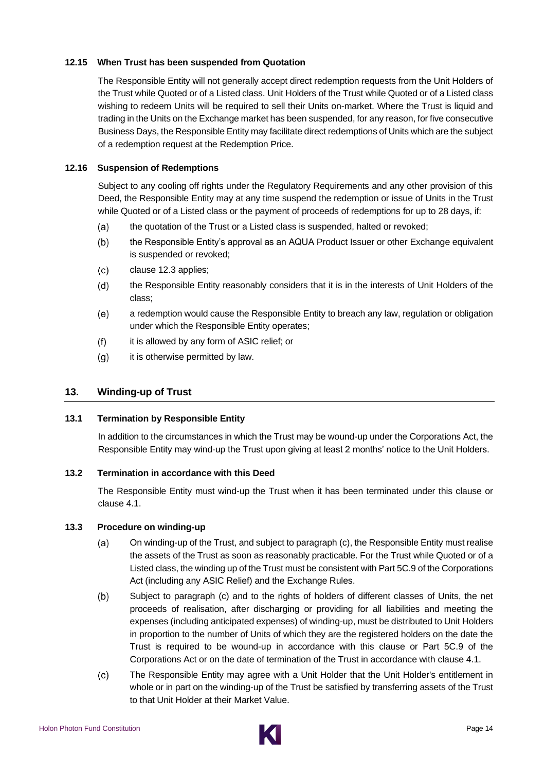# <span id="page-17-0"></span>**12.15 When Trust has been suspended from Quotation**

The Responsible Entity will not generally accept direct redemption requests from the Unit Holders of the Trust while Quoted or of a Listed class. Unit Holders of the Trust while Quoted or of a Listed class wishing to redeem Units will be required to sell their Units on-market. Where the Trust is liquid and trading in the Units on the Exchange market has been suspended, for any reason, for five consecutive Business Days, the Responsible Entity may facilitate direct redemptions of Units which are the subject of a redemption request at the Redemption Price.

# <span id="page-17-1"></span>**12.16 Suspension of Redemptions**

Subject to any cooling off rights under the Regulatory Requirements and any other provision of this Deed, the Responsible Entity may at any time suspend the redemption or issue of Units in the Trust while Quoted or of a Listed class or the payment of proceeds of redemptions for up to 28 days, if:

- $(a)$ the quotation of the Trust or a Listed class is suspended, halted or revoked;
- $(b)$ the Responsible Entity's approval as an AQUA Product Issuer or other Exchange equivalent is suspended or revoked;
- $(c)$ clause [12.3](#page-14-0) applies;
- $(d)$ the Responsible Entity reasonably considers that it is in the interests of Unit Holders of the class;
- (e) a redemption would cause the Responsible Entity to breach any law, regulation or obligation under which the Responsible Entity operates;
- $(f)$ it is allowed by any form of ASIC relief; or
- $(q)$ it is otherwise permitted by law.

# <span id="page-17-2"></span>**13. Winding-up of Trust**

# <span id="page-17-3"></span>**13.1 Termination by Responsible Entity**

In addition to the circumstances in which the Trust may be wound-up under the Corporations Act, the Responsible Entity may wind-up the Trust upon giving at least 2 months' notice to the Unit Holders.

# <span id="page-17-4"></span>**13.2 Termination in accordance with this Deed**

The Responsible Entity must wind-up the Trust when it has been terminated under this clause or clause [4.1.](#page-9-3)

# <span id="page-17-5"></span>**13.3 Procedure on winding-up**

- On winding-up of the Trust, and subject to paragrap[h \(c\),](#page-17-6) the Responsible Entity must realise  $(a)$ the assets of the Trust as soon as reasonably practicable. For the Trust while Quoted or of a Listed class, the winding up of the Trust must be consistent with Part 5C.9 of the Corporations Act (including any ASIC Relief) and the Exchange Rules.
- $(b)$ Subject to paragraph [\(c\)](#page-17-6) and to the rights of holders of different classes of Units, the net proceeds of realisation, after discharging or providing for all liabilities and meeting the expenses (including anticipated expenses) of winding-up, must be distributed to Unit Holders in proportion to the number of Units of which they are the registered holders on the date the Trust is required to be wound-up in accordance with this clause or Part 5C.9 of the Corporations Act or on the date of termination of the Trust in accordance with clause [4.1.](#page-9-3)
- <span id="page-17-6"></span>The Responsible Entity may agree with a Unit Holder that the Unit Holder's entitlement in  $(c)$ whole or in part on the winding-up of the Trust be satisfied by transferring assets of the Trust to that Unit Holder at their Market Value.

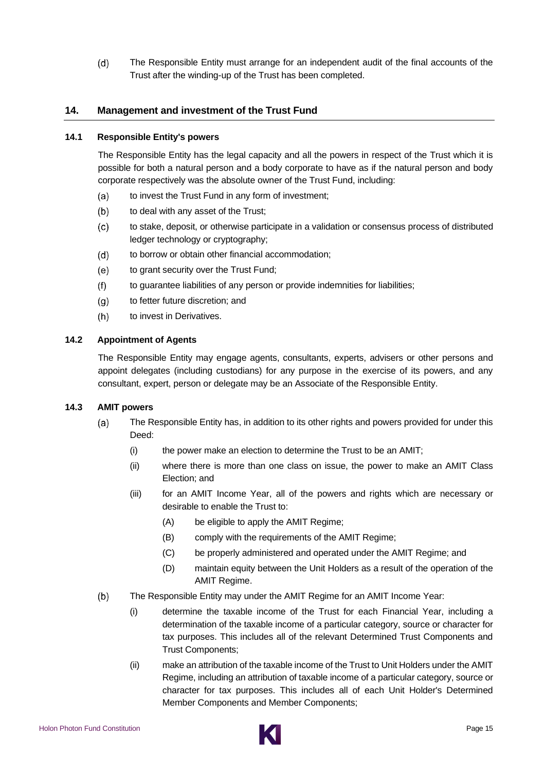$(d)$ The Responsible Entity must arrange for an independent audit of the final accounts of the Trust after the winding-up of the Trust has been completed.

# <span id="page-18-0"></span>**14. Management and investment of the Trust Fund**

#### <span id="page-18-1"></span>**14.1 Responsible Entity's powers**

The Responsible Entity has the legal capacity and all the powers in respect of the Trust which it is possible for both a natural person and a body corporate to have as if the natural person and body corporate respectively was the absolute owner of the Trust Fund, including:

- to invest the Trust Fund in any form of investment;  $(a)$
- $(b)$ to deal with any asset of the Trust;
- to stake, deposit, or otherwise participate in a validation or consensus process of distributed  $(c)$ ledger technology or cryptography;
- $(d)$ to borrow or obtain other financial accommodation;
- to grant security over the Trust Fund;  $(e)$
- $(f)$ to guarantee liabilities of any person or provide indemnities for liabilities;
- $(g)$ to fetter future discretion; and
- $(h)$ to invest in Derivatives.

# <span id="page-18-2"></span>**14.2 Appointment of Agents**

The Responsible Entity may engage agents, consultants, experts, advisers or other persons and appoint delegates (including custodians) for any purpose in the exercise of its powers, and any consultant, expert, person or delegate may be an Associate of the Responsible Entity.

# <span id="page-18-3"></span>**14.3 AMIT powers**

- $(a)$ The Responsible Entity has, in addition to its other rights and powers provided for under this Deed:
	- (i) the power make an election to determine the Trust to be an AMIT;
	- (ii) where there is more than one class on issue, the power to make an AMIT Class Election; and
	- (iii) for an AMIT Income Year, all of the powers and rights which are necessary or desirable to enable the Trust to:
		- (A) be eligible to apply the AMIT Regime;
		- (B) comply with the requirements of the AMIT Regime;
		- (C) be properly administered and operated under the AMIT Regime; and
		- (D) maintain equity between the Unit Holders as a result of the operation of the AMIT Regime.
- $(b)$ The Responsible Entity may under the AMIT Regime for an AMIT Income Year:
	- (i) determine the taxable income of the Trust for each Financial Year, including a determination of the taxable income of a particular category, source or character for tax purposes. This includes all of the relevant Determined Trust Components and Trust Components;
	- (ii) make an attribution of the taxable income of the Trust to Unit Holders under the AMIT Regime, including an attribution of taxable income of a particular category, source or character for tax purposes. This includes all of each Unit Holder's Determined Member Components and Member Components;

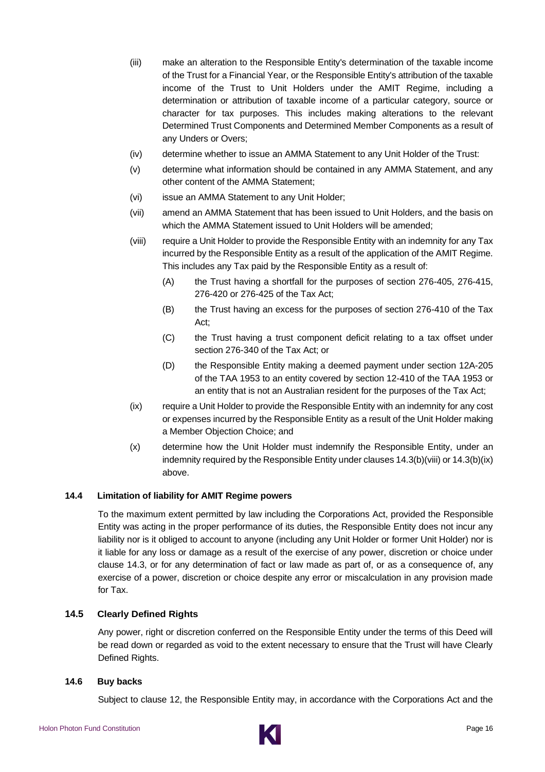(iii) make an alteration to the Responsible Entity's determination of the taxable income of the Trust for a Financial Year, or the Responsible Entity's attribution of the taxable income of the Trust to Unit Holders under the AMIT Regime, including a determination or attribution of taxable income of a particular category, source or character for tax purposes. This includes making alterations to the relevant Determined Trust Components and Determined Member Components as a result of any Unders or Overs;

- (iv) determine whether to issue an AMMA Statement to any Unit Holder of the Trust:
- (v) determine what information should be contained in any AMMA Statement, and any other content of the AMMA Statement;
- (vi) issue an AMMA Statement to any Unit Holder;
- <span id="page-19-3"></span>(vii) amend an AMMA Statement that has been issued to Unit Holders, and the basis on which the AMMA Statement issued to Unit Holders will be amended;
- <span id="page-19-4"></span>(viii) require a Unit Holder to provide the Responsible Entity with an indemnity for any Tax incurred by the Responsible Entity as a result of the application of the AMIT Regime. This includes any Tax paid by the Responsible Entity as a result of:
	- (A) the Trust having a shortfall for the purposes of section 276-405, 276-415, 276-420 or 276-425 of the Tax Act;
	- (B) the Trust having an excess for the purposes of section 276-410 of the Tax Act;
	- (C) the Trust having a trust component deficit relating to a tax offset under section 276-340 of the Tax Act; or
	- (D) the Responsible Entity making a deemed payment under section 12A-205 of the TAA 1953 to an entity covered by section 12-410 of the TAA 1953 or an entity that is not an Australian resident for the purposes of the Tax Act;
- <span id="page-19-5"></span>(ix) require a Unit Holder to provide the Responsible Entity with an indemnity for any cost or expenses incurred by the Responsible Entity as a result of the Unit Holder making a Member Objection Choice; and
- (x) determine how the Unit Holder must indemnify the Responsible Entity, under an indemnity required by the Responsible Entity under clause[s 14.3\(b\)\(viii\)](#page-19-4) or [14.3\(b\)\(ix\)](#page-19-5) above.

# <span id="page-19-0"></span>**14.4 Limitation of liability for AMIT Regime powers**

To the maximum extent permitted by law including the Corporations Act, provided the Responsible Entity was acting in the proper performance of its duties, the Responsible Entity does not incur any liability nor is it obliged to account to anyone (including any Unit Holder or former Unit Holder) nor is it liable for any loss or damage as a result of the exercise of any power, discretion or choice under clause [14.3,](#page-18-3) or for any determination of fact or law made as part of, or as a consequence of, any exercise of a power, discretion or choice despite any error or miscalculation in any provision made for Tax.

#### <span id="page-19-1"></span>**14.5 Clearly Defined Rights**

Any power, right or discretion conferred on the Responsible Entity under the terms of this Deed will be read down or regarded as void to the extent necessary to ensure that the Trust will have Clearly Defined Rights.

#### <span id="page-19-2"></span>**14.6 Buy backs**

Subject to clause [12,](#page-13-1) the Responsible Entity may, in accordance with the Corporations Act and the

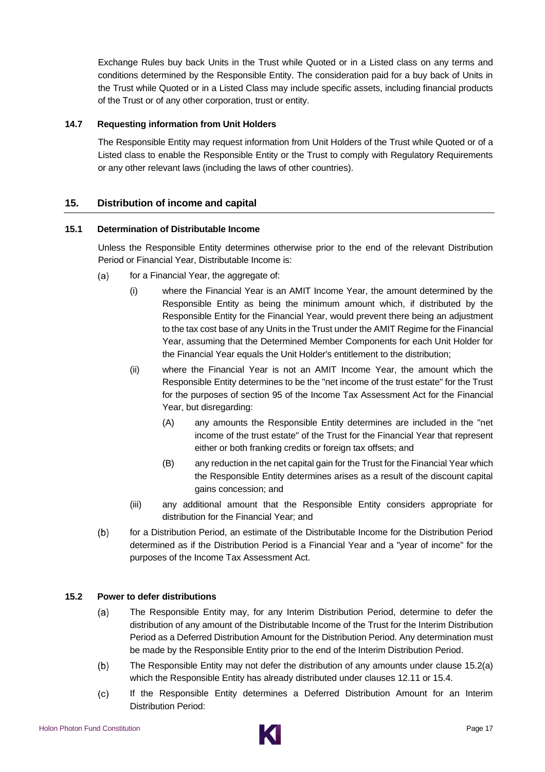Exchange Rules buy back Units in the Trust while Quoted or in a Listed class on any terms and conditions determined by the Responsible Entity. The consideration paid for a buy back of Units in the Trust while Quoted or in a Listed Class may include specific assets, including financial products of the Trust or of any other corporation, trust or entity.

# <span id="page-20-0"></span>**14.7 Requesting information from Unit Holders**

The Responsible Entity may request information from Unit Holders of the Trust while Quoted or of a Listed class to enable the Responsible Entity or the Trust to comply with Regulatory Requirements or any other relevant laws (including the laws of other countries).

# <span id="page-20-1"></span>**15. Distribution of income and capital**

# <span id="page-20-2"></span>**15.1 Determination of Distributable Income**

Unless the Responsible Entity determines otherwise prior to the end of the relevant Distribution Period or Financial Year, Distributable Income is:

- for a Financial Year, the aggregate of:  $(a)$ 
	- (i) where the Financial Year is an AMIT Income Year, the amount determined by the Responsible Entity as being the minimum amount which, if distributed by the Responsible Entity for the Financial Year, would prevent there being an adjustment to the tax cost base of any Units in the Trust under the AMIT Regime for the Financial Year, assuming that the Determined Member Components for each Unit Holder for the Financial Year equals the Unit Holder's entitlement to the distribution;
	- (ii) where the Financial Year is not an AMIT Income Year, the amount which the Responsible Entity determines to be the "net income of the trust estate" for the Trust for the purposes of section 95 of the Income Tax Assessment Act for the Financial Year, but disregarding:
		- (A) any amounts the Responsible Entity determines are included in the "net income of the trust estate" of the Trust for the Financial Year that represent either or both franking credits or foreign tax offsets; and
		- (B) any reduction in the net capital gain for the Trust for the Financial Year which the Responsible Entity determines arises as a result of the discount capital gains concession; and
	- (iii) any additional amount that the Responsible Entity considers appropriate for distribution for the Financial Year; and
- $(b)$ for a Distribution Period, an estimate of the Distributable Income for the Distribution Period determined as if the Distribution Period is a Financial Year and a "year of income" for the purposes of the Income Tax Assessment Act.

# <span id="page-20-4"></span><span id="page-20-3"></span>**15.2 Power to defer distributions**

- The Responsible Entity may, for any Interim Distribution Period, determine to defer the  $(a)$ distribution of any amount of the Distributable Income of the Trust for the Interim Distribution Period as a Deferred Distribution Amount for the Distribution Period. Any determination must be made by the Responsible Entity prior to the end of the Interim Distribution Period.
- $(b)$ The Responsible Entity may not defer the distribution of any amounts under clause [15.2\(a\)](#page-20-4) which the Responsible Entity has already distributed under clauses [12.11](#page-15-3) o[r 15.4.](#page-21-1)
- $(c)$ If the Responsible Entity determines a Deferred Distribution Amount for an Interim Distribution Period:

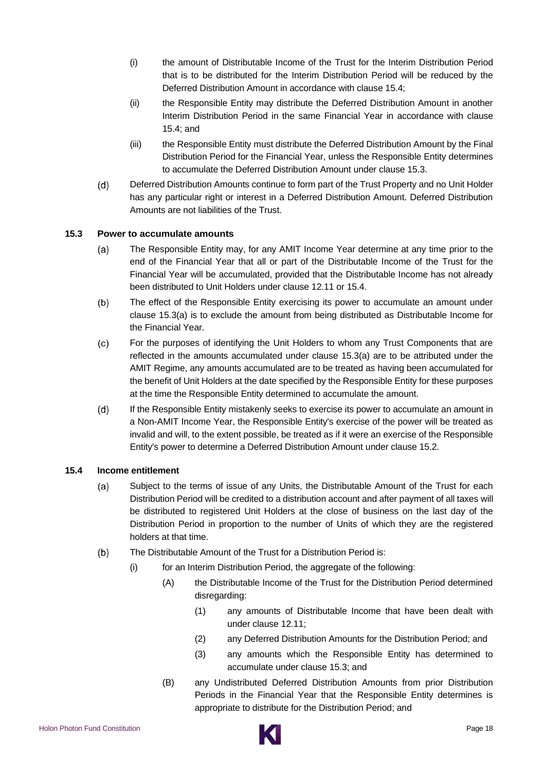- (i) the amount of Distributable Income of the Trust for the Interim Distribution Period that is to be distributed for the Interim Distribution Period will be reduced by the Deferred Distribution Amount in accordance with clause [15.4;](#page-21-1)
- (ii) the Responsible Entity may distribute the Deferred Distribution Amount in another Interim Distribution Period in the same Financial Year in accordance with clause [15.4;](#page-21-1) and
- (iii) the Responsible Entity must distribute the Deferred Distribution Amount by the Final Distribution Period for the Financial Year, unless the Responsible Entity determines to accumulate the Deferred Distribution Amount under clause [15.3.](#page-21-0)
- $(d)$ Deferred Distribution Amounts continue to form part of the Trust Property and no Unit Holder has any particular right or interest in a Deferred Distribution Amount. Deferred Distribution Amounts are not liabilities of the Trust.

# <span id="page-21-2"></span><span id="page-21-0"></span>**15.3 Power to accumulate amounts**

- $(a)$ The Responsible Entity may, for any AMIT Income Year determine at any time prior to the end of the Financial Year that all or part of the Distributable Income of the Trust for the Financial Year will be accumulated, provided that the Distributable Income has not already been distributed to Unit Holders under clause [12.11](#page-15-3) o[r 15.4.](#page-21-1)
- $(b)$ The effect of the Responsible Entity exercising its power to accumulate an amount under clause [15.3\(a\)](#page-21-2) is to exclude the amount from being distributed as Distributable Income for the Financial Year.
- <span id="page-21-3"></span> $(c)$ For the purposes of identifying the Unit Holders to whom any Trust Components that are reflected in the amounts accumulated under clause [15.3\(a\)](#page-21-2) are to be attributed under the AMIT Regime, any amounts accumulated are to be treated as having been accumulated for the benefit of Unit Holders at the date specified by the Responsible Entity for these purposes at the time the Responsible Entity determined to accumulate the amount.
- $(d)$ If the Responsible Entity mistakenly seeks to exercise its power to accumulate an amount in a Non-AMIT Income Year, the Responsible Entity's exercise of the power will be treated as invalid and will, to the extent possible, be treated as if it were an exercise of the Responsible Entity's power to determine a Deferred Distribution Amount under clause [15.2.](#page-20-3)

# <span id="page-21-1"></span>**15.4 Income entitlement**

- $(a)$ Subject to the terms of issue of any Units, the Distributable Amount of the Trust for each Distribution Period will be credited to a distribution account and after payment of all taxes will be distributed to registered Unit Holders at the close of business on the last day of the Distribution Period in proportion to the number of Units of which they are the registered holders at that time.
- $(b)$ The Distributable Amount of the Trust for a Distribution Period is:
	- (i) for an Interim Distribution Period, the aggregate of the following:
		- (A) the Distributable Income of the Trust for the Distribution Period determined disregarding:
			- (1) any amounts of Distributable Income that have been dealt with under clause [12.11;](#page-15-3)
			- (2) any Deferred Distribution Amounts for the Distribution Period; and
			- (3) any amounts which the Responsible Entity has determined to accumulate under clause [15.3;](#page-21-0) and
		- (B) any Undistributed Deferred Distribution Amounts from prior Distribution Periods in the Financial Year that the Responsible Entity determines is appropriate to distribute for the Distribution Period; and

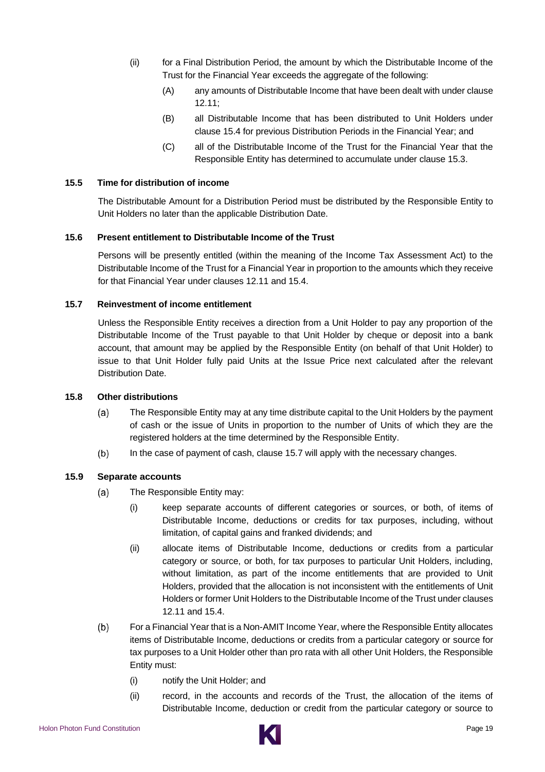- (ii) for a Final Distribution Period, the amount by which the Distributable Income of the Trust for the Financial Year exceeds the aggregate of the following:
	- (A) any amounts of Distributable Income that have been dealt with under clause [12.11;](#page-15-3)
	- (B) all Distributable Income that has been distributed to Unit Holders under clause [15.4](#page-21-1) for previous Distribution Periods in the Financial Year; and
	- (C) all of the Distributable Income of the Trust for the Financial Year that the Responsible Entity has determined to accumulate under clause [15.3.](#page-21-0)

# <span id="page-22-0"></span>**15.5 Time for distribution of income**

The Distributable Amount for a Distribution Period must be distributed by the Responsible Entity to Unit Holders no later than the applicable Distribution Date.

# <span id="page-22-1"></span>**15.6 Present entitlement to Distributable Income of the Trust**

Persons will be presently entitled (within the meaning of the Income Tax Assessment Act) to the Distributable Income of the Trust for a Financial Year in proportion to the amounts which they receive for that Financial Year under clause[s 12.11](#page-15-3) and [15.4.](#page-21-1)

# <span id="page-22-2"></span>**15.7 Reinvestment of income entitlement**

Unless the Responsible Entity receives a direction from a Unit Holder to pay any proportion of the Distributable Income of the Trust payable to that Unit Holder by cheque or deposit into a bank account, that amount may be applied by the Responsible Entity (on behalf of that Unit Holder) to issue to that Unit Holder fully paid Units at the Issue Price next calculated after the relevant Distribution Date.

# <span id="page-22-3"></span>**15.8 Other distributions**

- $(a)$ The Responsible Entity may at any time distribute capital to the Unit Holders by the payment of cash or the issue of Units in proportion to the number of Units of which they are the registered holders at the time determined by the Responsible Entity.
- $(b)$ In the case of payment of cash, clause [15.7](#page-22-2) will apply with the necessary changes.

# <span id="page-22-4"></span>**15.9 Separate accounts**

- $(a)$ The Responsible Entity may:
	- (i) keep separate accounts of different categories or sources, or both, of items of Distributable Income, deductions or credits for tax purposes, including, without limitation, of capital gains and franked dividends; and
	- (ii) allocate items of Distributable Income, deductions or credits from a particular category or source, or both, for tax purposes to particular Unit Holders, including, without limitation, as part of the income entitlements that are provided to Unit Holders, provided that the allocation is not inconsistent with the entitlements of Unit Holders or former Unit Holders to the Distributable Income of the Trust under clauses [12.11](#page-15-3) and [15.4.](#page-21-1)
- $(b)$ For a Financial Year that is a Non-AMIT Income Year, where the Responsible Entity allocates items of Distributable Income, deductions or credits from a particular category or source for tax purposes to a Unit Holder other than pro rata with all other Unit Holders, the Responsible Entity must:
	- (i) notify the Unit Holder; and
	- (ii) record, in the accounts and records of the Trust, the allocation of the items of Distributable Income, deduction or credit from the particular category or source to

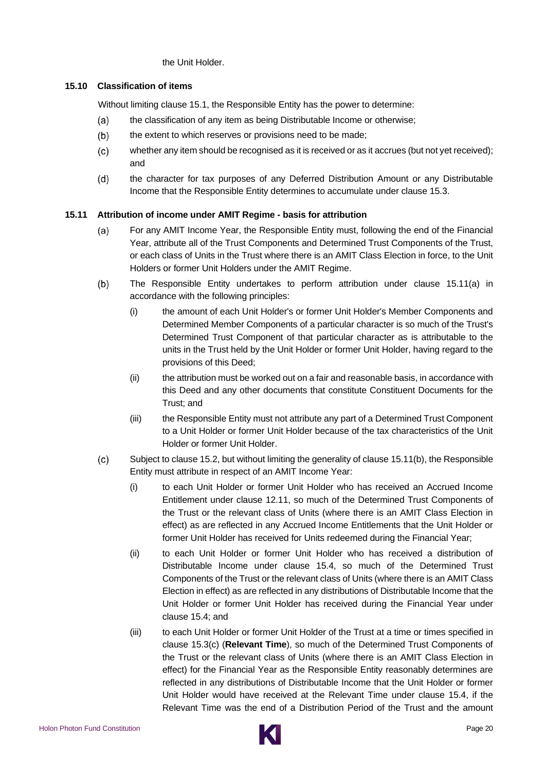the Unit Holder.

# <span id="page-23-0"></span>**15.10 Classification of items**

Without limiting clause [15.1,](#page-20-2) the Responsible Entity has the power to determine:

- $(a)$ the classification of any item as being Distributable Income or otherwise;
- $(b)$ the extent to which reserves or provisions need to be made;
- $(c)$ whether any item should be recognised as it is received or as it accrues (but not yet received); and
- $(d)$ the character for tax purposes of any Deferred Distribution Amount or any Distributable Income that the Responsible Entity determines to accumulate under clause [15.3.](#page-21-0)

# <span id="page-23-2"></span><span id="page-23-1"></span>**15.11 Attribution of income under AMIT Regime - basis for attribution**

- For any AMIT Income Year, the Responsible Entity must, following the end of the Financial  $(a)$ Year, attribute all of the Trust Components and Determined Trust Components of the Trust, or each class of Units in the Trust where there is an AMIT Class Election in force, to the Unit Holders or former Unit Holders under the AMIT Regime.
- <span id="page-23-3"></span>The Responsible Entity undertakes to perform attribution under clause [15.11\(a\)](#page-23-2) in  $(b)$ accordance with the following principles:
	- (i) the amount of each Unit Holder's or former Unit Holder's Member Components and Determined Member Components of a particular character is so much of the Trust's Determined Trust Component of that particular character as is attributable to the units in the Trust held by the Unit Holder or former Unit Holder, having regard to the provisions of this Deed;
	- (ii) the attribution must be worked out on a fair and reasonable basis, in accordance with this Deed and any other documents that constitute Constituent Documents for the Trust; and
	- (iii) the Responsible Entity must not attribute any part of a Determined Trust Component to a Unit Holder or former Unit Holder because of the tax characteristics of the Unit Holder or former Unit Holder.
- $(c)$ Subject to clause [15.2,](#page-20-3) but without limiting the generality of clause [15.11\(b\),](#page-23-3) the Responsible Entity must attribute in respect of an AMIT Income Year:
	- (i) to each Unit Holder or former Unit Holder who has received an Accrued Income Entitlement under clause [12.11,](#page-15-3) so much of the Determined Trust Components of the Trust or the relevant class of Units (where there is an AMIT Class Election in effect) as are reflected in any Accrued Income Entitlements that the Unit Holder or former Unit Holder has received for Units redeemed during the Financial Year;
	- (ii) to each Unit Holder or former Unit Holder who has received a distribution of Distributable Income under clause [15.4,](#page-21-1) so much of the Determined Trust Components of the Trust or the relevant class of Units (where there is an AMIT Class Election in effect) as are reflected in any distributions of Distributable Income that the Unit Holder or former Unit Holder has received during the Financial Year under clause [15.4;](#page-21-1) and
	- (iii) to each Unit Holder or former Unit Holder of the Trust at a time or times specified in clause [15.3\(c\)](#page-21-3) (**Relevant Time**), so much of the Determined Trust Components of the Trust or the relevant class of Units (where there is an AMIT Class Election in effect) for the Financial Year as the Responsible Entity reasonably determines are reflected in any distributions of Distributable Income that the Unit Holder or former Unit Holder would have received at the Relevant Time under clause [15.4,](#page-21-1) if the Relevant Time was the end of a Distribution Period of the Trust and the amount

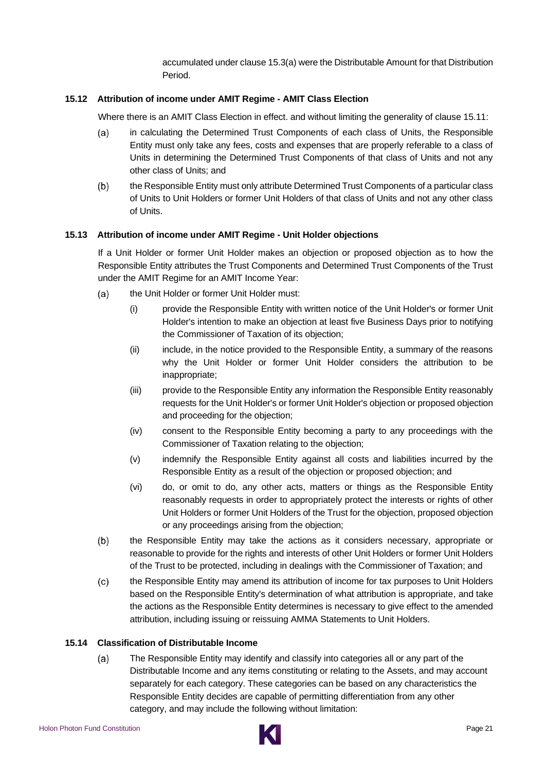accumulated under clause [15.3\(a\)](#page-21-2) were the Distributable Amount for that Distribution Period.

# <span id="page-24-0"></span>**15.12 Attribution of income under AMIT Regime - AMIT Class Election**

Where there is an AMIT Class Election in effect. and without limiting the generality of clause [15.11:](#page-23-1)

- in calculating the Determined Trust Components of each class of Units, the Responsible  $(a)$ Entity must only take any fees, costs and expenses that are properly referable to a class of Units in determining the Determined Trust Components of that class of Units and not any other class of Units; and
- $(b)$ the Responsible Entity must only attribute Determined Trust Components of a particular class of Units to Unit Holders or former Unit Holders of that class of Units and not any other class of Units.

# <span id="page-24-1"></span>**15.13 Attribution of income under AMIT Regime - Unit Holder objections**

If a Unit Holder or former Unit Holder makes an objection or proposed objection as to how the Responsible Entity attributes the Trust Components and Determined Trust Components of the Trust under the AMIT Regime for an AMIT Income Year:

- $(a)$ the Unit Holder or former Unit Holder must:
	- (i) provide the Responsible Entity with written notice of the Unit Holder's or former Unit Holder's intention to make an objection at least five Business Days prior to notifying the Commissioner of Taxation of its objection;
	- (ii) include, in the notice provided to the Responsible Entity, a summary of the reasons why the Unit Holder or former Unit Holder considers the attribution to be inappropriate;
	- (iii) provide to the Responsible Entity any information the Responsible Entity reasonably requests for the Unit Holder's or former Unit Holder's objection or proposed objection and proceeding for the objection;
	- (iv) consent to the Responsible Entity becoming a party to any proceedings with the Commissioner of Taxation relating to the objection;
	- (v) indemnify the Responsible Entity against all costs and liabilities incurred by the Responsible Entity as a result of the objection or proposed objection; and
	- (vi) do, or omit to do, any other acts, matters or things as the Responsible Entity reasonably requests in order to appropriately protect the interests or rights of other Unit Holders or former Unit Holders of the Trust for the objection, proposed objection or any proceedings arising from the objection;
- $(b)$ the Responsible Entity may take the actions as it considers necessary, appropriate or reasonable to provide for the rights and interests of other Unit Holders or former Unit Holders of the Trust to be protected, including in dealings with the Commissioner of Taxation; and
- the Responsible Entity may amend its attribution of income for tax purposes to Unit Holders  $(c)$ based on the Responsible Entity's determination of what attribution is appropriate, and take the actions as the Responsible Entity determines is necessary to give effect to the amended attribution, including issuing or reissuing AMMA Statements to Unit Holders.

# <span id="page-24-3"></span><span id="page-24-2"></span>**15.14 Classification of Distributable Income**

 $(a)$ The Responsible Entity may identify and classify into categories all or any part of the Distributable Income and any items constituting or relating to the Assets, and may account separately for each category. These categories can be based on any characteristics the Responsible Entity decides are capable of permitting differentiation from any other category, and may include the following without limitation:

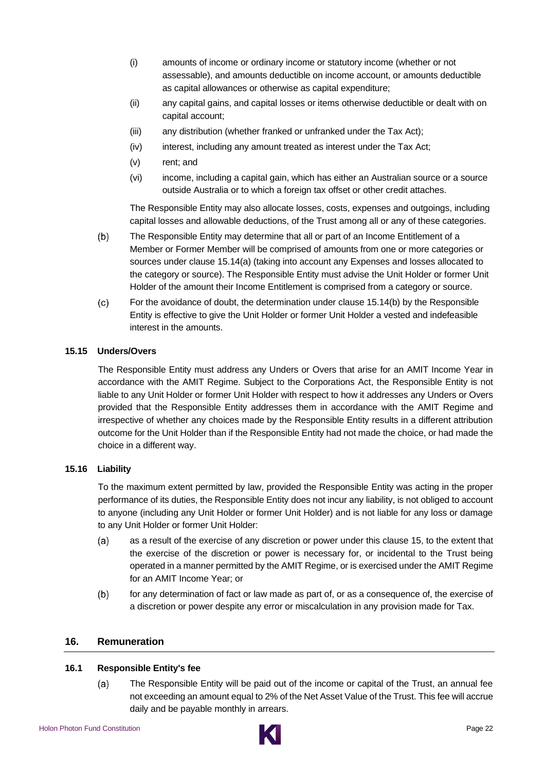- (i) amounts of income or ordinary income or statutory income (whether or not assessable), and amounts deductible on income account, or amounts deductible as capital allowances or otherwise as capital expenditure;
- (ii) any capital gains, and capital losses or items otherwise deductible or dealt with on capital account;
- (iii) any distribution (whether franked or unfranked under the Tax Act);
- (iv) interest, including any amount treated as interest under the Tax Act;
- (v) rent; and
- (vi) income, including a capital gain, which has either an Australian source or a source outside Australia or to which a foreign tax offset or other credit attaches.

The Responsible Entity may also allocate losses, costs, expenses and outgoings, including capital losses and allowable deductions, of the Trust among all or any of these categories.

- <span id="page-25-4"></span> $(b)$ The Responsible Entity may determine that all or part of an Income Entitlement of a Member or Former Member will be comprised of amounts from one or more categories or sources under clause [15.14\(a\)](#page-24-3) (taking into account any Expenses and losses allocated to the category or source). The Responsible Entity must advise the Unit Holder or former Unit Holder of the amount their Income Entitlement is comprised from a category or source.
- For the avoidance of doubt, the determination under clause [15.14\(b\)](#page-25-4) by the Responsible  $(c)$ Entity is effective to give the Unit Holder or former Unit Holder a vested and indefeasible interest in the amounts.

# <span id="page-25-0"></span>**15.15 Unders/Overs**

The Responsible Entity must address any Unders or Overs that arise for an AMIT Income Year in accordance with the AMIT Regime. Subject to the Corporations Act, the Responsible Entity is not liable to any Unit Holder or former Unit Holder with respect to how it addresses any Unders or Overs provided that the Responsible Entity addresses them in accordance with the AMIT Regime and irrespective of whether any choices made by the Responsible Entity results in a different attribution outcome for the Unit Holder than if the Responsible Entity had not made the choice, or had made the choice in a different way.

# <span id="page-25-1"></span>**15.16 Liability**

To the maximum extent permitted by law, provided the Responsible Entity was acting in the proper performance of its duties, the Responsible Entity does not incur any liability, is not obliged to account to anyone (including any Unit Holder or former Unit Holder) and is not liable for any loss or damage to any Unit Holder or former Unit Holder:

- $(a)$ as a result of the exercise of any discretion or power under this clause [15,](#page-20-1) to the extent that the exercise of the discretion or power is necessary for, or incidental to the Trust being operated in a manner permitted by the AMIT Regime, or is exercised under the AMIT Regime for an AMIT Income Year; or
- $(b)$ for any determination of fact or law made as part of, or as a consequence of, the exercise of a discretion or power despite any error or miscalculation in any provision made for Tax.

# <span id="page-25-2"></span>**16. Remuneration**

# <span id="page-25-3"></span>**16.1 Responsible Entity's fee**

 $(a)$ The Responsible Entity will be paid out of the income or capital of the Trust, an annual fee not exceeding an amount equal to 2% of the Net Asset Value of the Trust. This fee will accrue daily and be payable monthly in arrears.

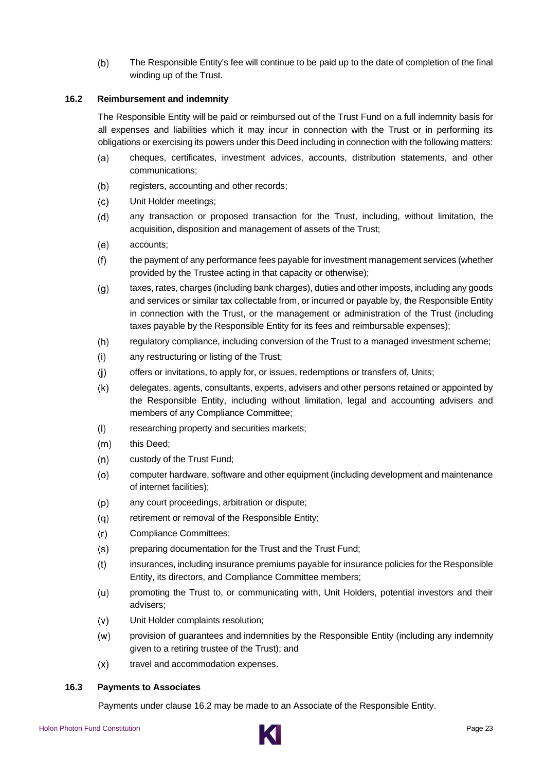$(b)$ The Responsible Entity's fee will continue to be paid up to the date of completion of the final winding up of the Trust.

# <span id="page-26-0"></span>**16.2 Reimbursement and indemnity**

The Responsible Entity will be paid or reimbursed out of the Trust Fund on a full indemnity basis for all expenses and liabilities which it may incur in connection with the Trust or in performing its obligations or exercising its powers under this Deed including in connection with the following matters:

- cheques, certificates, investment advices, accounts, distribution statements, and other  $(a)$ communications;
- $(b)$ registers, accounting and other records;
- Unit Holder meetings;  $(c)$
- $(d)$ any transaction or proposed transaction for the Trust, including, without limitation, the acquisition, disposition and management of assets of the Trust;
- $(e)$ accounts;
- $(f)$ the payment of any performance fees payable for investment management services (whether provided by the Trustee acting in that capacity or otherwise);
- $(q)$ taxes, rates, charges (including bank charges), duties and other imposts, including any goods and services or similar tax collectable from, or incurred or payable by, the Responsible Entity in connection with the Trust, or the management or administration of the Trust (including taxes payable by the Responsible Entity for its fees and reimbursable expenses);
- $(h)$ regulatory compliance, including conversion of the Trust to a managed investment scheme;
- $(i)$ any restructuring or listing of the Trust;
- $(i)$ offers or invitations, to apply for, or issues, redemptions or transfers of, Units;
- $(k)$ delegates, agents, consultants, experts, advisers and other persons retained or appointed by the Responsible Entity, including without limitation, legal and accounting advisers and members of any Compliance Committee;
- $(1)$ researching property and securities markets;
- $(m)$ this Deed;
- $(n)$ custody of the Trust Fund;
- $(o)$ computer hardware, software and other equipment (including development and maintenance of internet facilities);
- $(p)$ any court proceedings, arbitration or dispute;
- $(q)$ retirement or removal of the Responsible Entity;
- Compliance Committees;  $(r)$
- $(s)$ preparing documentation for the Trust and the Trust Fund;
- insurances, including insurance premiums payable for insurance policies for the Responsible  $(t)$ Entity, its directors, and Compliance Committee members;
- $(u)$ promoting the Trust to, or communicating with, Unit Holders, potential investors and their advisers;
- $(v)$ Unit Holder complaints resolution;
- $(w)$ provision of guarantees and indemnities by the Responsible Entity (including any indemnity given to a retiring trustee of the Trust); and
- $(x)$ travel and accommodation expenses.

#### <span id="page-26-1"></span>**16.3 Payments to Associates**

Payments under clause [16.2](#page-26-0) may be made to an Associate of the Responsible Entity.

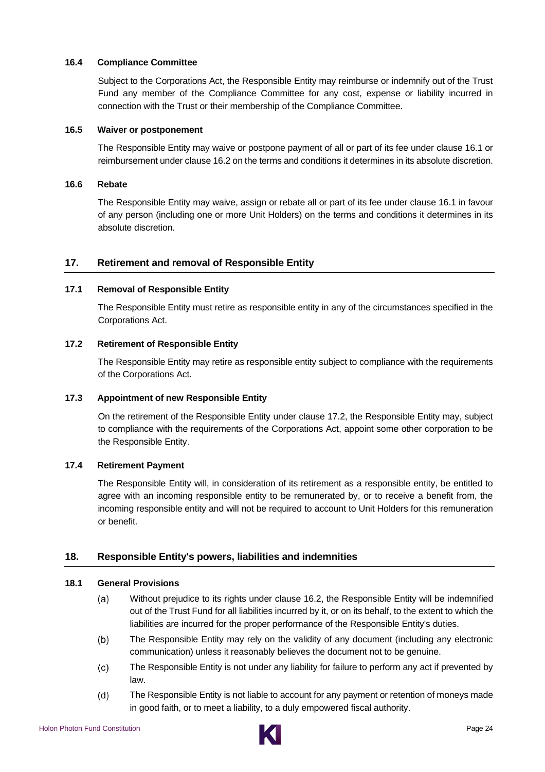# <span id="page-27-0"></span>**16.4 Compliance Committee**

Subject to the Corporations Act, the Responsible Entity may reimburse or indemnify out of the Trust Fund any member of the Compliance Committee for any cost, expense or liability incurred in connection with the Trust or their membership of the Compliance Committee.

# <span id="page-27-1"></span>**16.5 Waiver or postponement**

The Responsible Entity may waive or postpone payment of all or part of its fee under clause [16.1](#page-25-3) or reimbursement under clause [16.2](#page-26-0) on the terms and conditions it determines in its absolute discretion.

#### <span id="page-27-2"></span>**16.6 Rebate**

The Responsible Entity may waive, assign or rebate all or part of its fee under clause [16.1](#page-25-3) in favour of any person (including one or more Unit Holders) on the terms and conditions it determines in its absolute discretion.

# <span id="page-27-3"></span>**17. Retirement and removal of Responsible Entity**

# <span id="page-27-4"></span>**17.1 Removal of Responsible Entity**

The Responsible Entity must retire as responsible entity in any of the circumstances specified in the Corporations Act.

# <span id="page-27-5"></span>**17.2 Retirement of Responsible Entity**

The Responsible Entity may retire as responsible entity subject to compliance with the requirements of the Corporations Act.

# <span id="page-27-6"></span>**17.3 Appointment of new Responsible Entity**

On the retirement of the Responsible Entity under clause [17.2,](#page-27-5) the Responsible Entity may, subject to compliance with the requirements of the Corporations Act, appoint some other corporation to be the Responsible Entity.

# <span id="page-27-7"></span>**17.4 Retirement Payment**

The Responsible Entity will, in consideration of its retirement as a responsible entity, be entitled to agree with an incoming responsible entity to be remunerated by, or to receive a benefit from, the incoming responsible entity and will not be required to account to Unit Holders for this remuneration or benefit.

# <span id="page-27-8"></span>**18. Responsible Entity's powers, liabilities and indemnities**

#### <span id="page-27-9"></span>**18.1 General Provisions**

- Without prejudice to its rights under clause [16.2,](#page-26-0) the Responsible Entity will be indemnified  $(a)$ out of the Trust Fund for all liabilities incurred by it, or on its behalf, to the extent to which the liabilities are incurred for the proper performance of the Responsible Entity's duties.
- $(b)$ The Responsible Entity may rely on the validity of any document (including any electronic communication) unless it reasonably believes the document not to be genuine.
- The Responsible Entity is not under any liability for failure to perform any act if prevented by  $(c)$ law.
- $(d)$ The Responsible Entity is not liable to account for any payment or retention of moneys made in good faith, or to meet a liability, to a duly empowered fiscal authority.

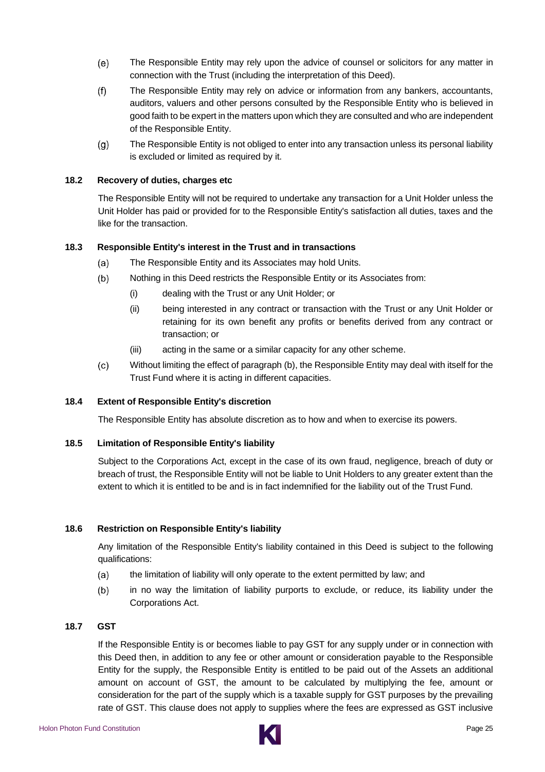- $(e)$ The Responsible Entity may rely upon the advice of counsel or solicitors for any matter in connection with the Trust (including the interpretation of this Deed).
- $(f)$ The Responsible Entity may rely on advice or information from any bankers, accountants, auditors, valuers and other persons consulted by the Responsible Entity who is believed in good faith to be expert in the matters upon which they are consulted and who are independent of the Responsible Entity.
- $(g)$ The Responsible Entity is not obliged to enter into any transaction unless its personal liability is excluded or limited as required by it.

## <span id="page-28-0"></span>**18.2 Recovery of duties, charges etc**

The Responsible Entity will not be required to undertake any transaction for a Unit Holder unless the Unit Holder has paid or provided for to the Responsible Entity's satisfaction all duties, taxes and the like for the transaction.

## <span id="page-28-6"></span><span id="page-28-1"></span>**18.3 Responsible Entity's interest in the Trust and in transactions**

- The Responsible Entity and its Associates may hold Units.  $(a)$
- $(b)$ Nothing in this Deed restricts the Responsible Entity or its Associates from:
	- (i) dealing with the Trust or any Unit Holder; or
	- (ii) being interested in any contract or transaction with the Trust or any Unit Holder or retaining for its own benefit any profits or benefits derived from any contract or transaction; or
	- (iii) acting in the same or a similar capacity for any other scheme.
- $(c)$ Without limiting the effect of paragraph [\(b\),](#page-28-6) the Responsible Entity may deal with itself for the Trust Fund where it is acting in different capacities.

#### <span id="page-28-2"></span>**18.4 Extent of Responsible Entity's discretion**

The Responsible Entity has absolute discretion as to how and when to exercise its powers.

#### <span id="page-28-3"></span>**18.5 Limitation of Responsible Entity's liability**

Subject to the Corporations Act, except in the case of its own fraud, negligence, breach of duty or breach of trust, the Responsible Entity will not be liable to Unit Holders to any greater extent than the extent to which it is entitled to be and is in fact indemnified for the liability out of the Trust Fund.

# <span id="page-28-4"></span>**18.6 Restriction on Responsible Entity's liability**

Any limitation of the Responsible Entity's liability contained in this Deed is subject to the following qualifications:

- $(a)$ the limitation of liability will only operate to the extent permitted by law; and
- $(b)$ in no way the limitation of liability purports to exclude, or reduce, its liability under the Corporations Act.

# <span id="page-28-5"></span>**18.7 GST**

If the Responsible Entity is or becomes liable to pay GST for any supply under or in connection with this Deed then, in addition to any fee or other amount or consideration payable to the Responsible Entity for the supply, the Responsible Entity is entitled to be paid out of the Assets an additional amount on account of GST, the amount to be calculated by multiplying the fee, amount or consideration for the part of the supply which is a taxable supply for GST purposes by the prevailing rate of GST. This clause does not apply to supplies where the fees are expressed as GST inclusive

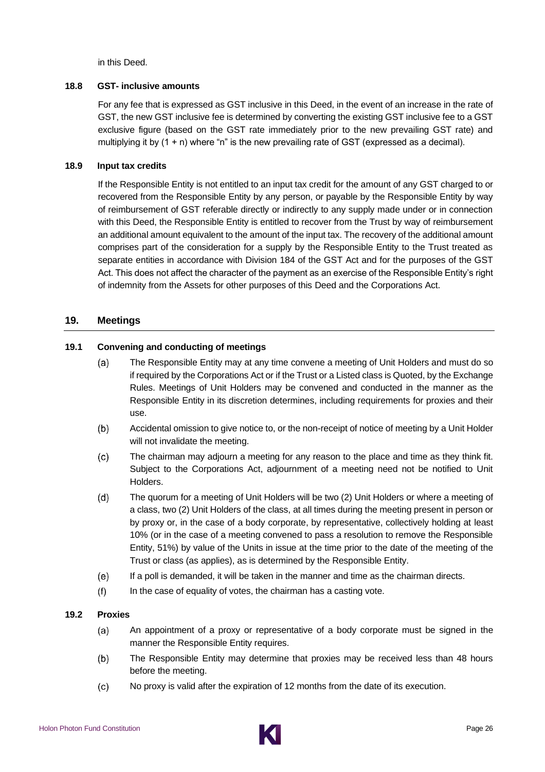in this Deed.

#### <span id="page-29-0"></span>**18.8 GST- inclusive amounts**

For any fee that is expressed as GST inclusive in this Deed, in the event of an increase in the rate of GST, the new GST inclusive fee is determined by converting the existing GST inclusive fee to a GST exclusive figure (based on the GST rate immediately prior to the new prevailing GST rate) and multiplying it by  $(1 + n)$  where "n" is the new prevailing rate of GST (expressed as a decimal).

# <span id="page-29-1"></span>**18.9 Input tax credits**

If the Responsible Entity is not entitled to an input tax credit for the amount of any GST charged to or recovered from the Responsible Entity by any person, or payable by the Responsible Entity by way of reimbursement of GST referable directly or indirectly to any supply made under or in connection with this Deed, the Responsible Entity is entitled to recover from the Trust by way of reimbursement an additional amount equivalent to the amount of the input tax. The recovery of the additional amount comprises part of the consideration for a supply by the Responsible Entity to the Trust treated as separate entities in accordance with Division 184 of the GST Act and for the purposes of the GST Act. This does not affect the character of the payment as an exercise of the Responsible Entity's right of indemnity from the Assets for other purposes of this Deed and the Corporations Act.

# <span id="page-29-2"></span>**19. Meetings**

## <span id="page-29-3"></span>**19.1 Convening and conducting of meetings**

- $(a)$ The Responsible Entity may at any time convene a meeting of Unit Holders and must do so if required by the Corporations Act or if the Trust or a Listed class is Quoted, by the Exchange Rules. Meetings of Unit Holders may be convened and conducted in the manner as the Responsible Entity in its discretion determines, including requirements for proxies and their use.
- $(b)$ Accidental omission to give notice to, or the non-receipt of notice of meeting by a Unit Holder will not invalidate the meeting.
- $(c)$ The chairman may adjourn a meeting for any reason to the place and time as they think fit. Subject to the Corporations Act, adjournment of a meeting need not be notified to Unit Holders.
- $(d)$ The quorum for a meeting of Unit Holders will be two (2) Unit Holders or where a meeting of a class, two (2) Unit Holders of the class, at all times during the meeting present in person or by proxy or, in the case of a body corporate, by representative, collectively holding at least 10% (or in the case of a meeting convened to pass a resolution to remove the Responsible Entity, 51%) by value of the Units in issue at the time prior to the date of the meeting of the Trust or class (as applies), as is determined by the Responsible Entity.
- If a poll is demanded, it will be taken in the manner and time as the chairman directs.  $(e)$
- $(f)$ In the case of equality of votes, the chairman has a casting vote.

#### <span id="page-29-4"></span>**19.2 Proxies**

- $(a)$ An appointment of a proxy or representative of a body corporate must be signed in the manner the Responsible Entity requires.
- $(b)$ The Responsible Entity may determine that proxies may be received less than 48 hours before the meeting.
- $(c)$ No proxy is valid after the expiration of 12 months from the date of its execution.

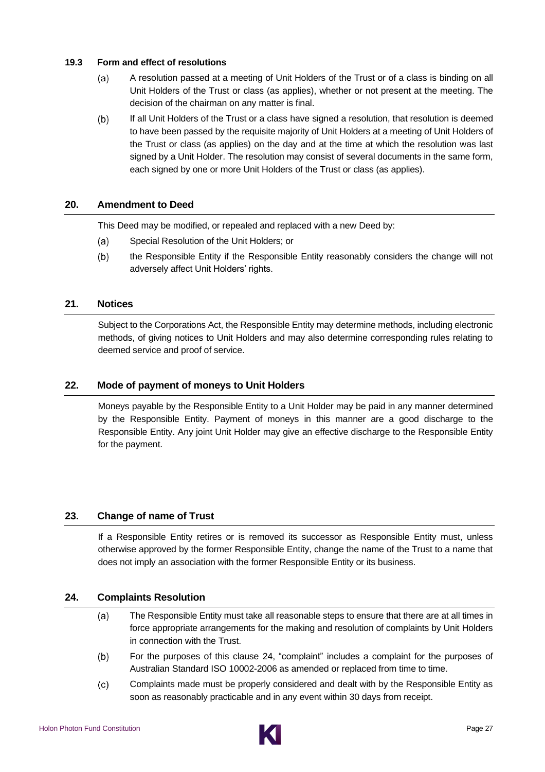# <span id="page-30-0"></span>**19.3 Form and effect of resolutions**

- $(a)$ A resolution passed at a meeting of Unit Holders of the Trust or of a class is binding on all Unit Holders of the Trust or class (as applies), whether or not present at the meeting. The decision of the chairman on any matter is final.
- If all Unit Holders of the Trust or a class have signed a resolution, that resolution is deemed  $(b)$ to have been passed by the requisite majority of Unit Holders at a meeting of Unit Holders of the Trust or class (as applies) on the day and at the time at which the resolution was last signed by a Unit Holder. The resolution may consist of several documents in the same form, each signed by one or more Unit Holders of the Trust or class (as applies).

# <span id="page-30-1"></span>**20. Amendment to Deed**

This Deed may be modified, or repealed and replaced with a new Deed by:

- Special Resolution of the Unit Holders; or  $(a)$
- $(b)$ the Responsible Entity if the Responsible Entity reasonably considers the change will not adversely affect Unit Holders' rights.

# <span id="page-30-2"></span>**21. Notices**

Subject to the Corporations Act, the Responsible Entity may determine methods, including electronic methods, of giving notices to Unit Holders and may also determine corresponding rules relating to deemed service and proof of service.

# <span id="page-30-3"></span>**22. Mode of payment of moneys to Unit Holders**

Moneys payable by the Responsible Entity to a Unit Holder may be paid in any manner determined by the Responsible Entity. Payment of moneys in this manner are a good discharge to the Responsible Entity. Any joint Unit Holder may give an effective discharge to the Responsible Entity for the payment.

# <span id="page-30-4"></span>**23. Change of name of Trust**

If a Responsible Entity retires or is removed its successor as Responsible Entity must, unless otherwise approved by the former Responsible Entity, change the name of the Trust to a name that does not imply an association with the former Responsible Entity or its business.

# <span id="page-30-5"></span>**24. Complaints Resolution**

- $(a)$ The Responsible Entity must take all reasonable steps to ensure that there are at all times in force appropriate arrangements for the making and resolution of complaints by Unit Holders in connection with the Trust.
- $(b)$ For the purposes of this clause [24,](#page-30-5) "complaint" includes a complaint for the purposes of Australian Standard ISO 10002-2006 as amended or replaced from time to time.
- $(c)$ Complaints made must be properly considered and dealt with by the Responsible Entity as soon as reasonably practicable and in any event within 30 days from receipt.

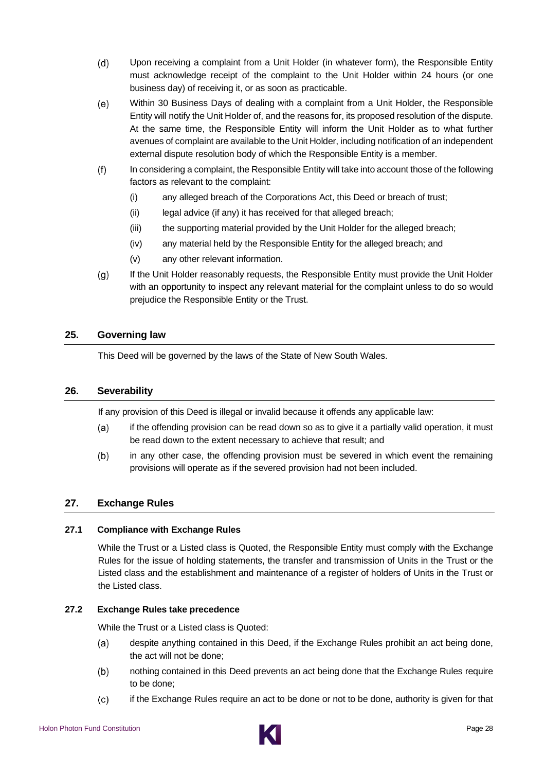- $(d)$ Upon receiving a complaint from a Unit Holder (in whatever form), the Responsible Entity must acknowledge receipt of the complaint to the Unit Holder within 24 hours (or one business day) of receiving it, or as soon as practicable.
- $(e)$ Within 30 Business Days of dealing with a complaint from a Unit Holder, the Responsible Entity will notify the Unit Holder of, and the reasons for, its proposed resolution of the dispute. At the same time, the Responsible Entity will inform the Unit Holder as to what further avenues of complaint are available to the Unit Holder, including notification of an independent external dispute resolution body of which the Responsible Entity is a member.
- $(f)$ In considering a complaint, the Responsible Entity will take into account those of the following factors as relevant to the complaint:
	- (i) any alleged breach of the Corporations Act, this Deed or breach of trust;
	- (ii) legal advice (if any) it has received for that alleged breach;
	- (iii) the supporting material provided by the Unit Holder for the alleged breach;
	- (iv) any material held by the Responsible Entity for the alleged breach; and
	- (v) any other relevant information.
- $(g)$ If the Unit Holder reasonably requests, the Responsible Entity must provide the Unit Holder with an opportunity to inspect any relevant material for the complaint unless to do so would prejudice the Responsible Entity or the Trust.

# <span id="page-31-0"></span>**25. Governing law**

This Deed will be governed by the laws of the State of New South Wales.

# <span id="page-31-1"></span>**26. Severability**

If any provision of this Deed is illegal or invalid because it offends any applicable law:

- $(a)$ if the offending provision can be read down so as to give it a partially valid operation, it must be read down to the extent necessary to achieve that result; and
- $(b)$ in any other case, the offending provision must be severed in which event the remaining provisions will operate as if the severed provision had not been included.

# <span id="page-31-2"></span>**27. Exchange Rules**

# <span id="page-31-3"></span>**27.1 Compliance with Exchange Rules**

While the Trust or a Listed class is Quoted, the Responsible Entity must comply with the Exchange Rules for the issue of holding statements, the transfer and transmission of Units in the Trust or the Listed class and the establishment and maintenance of a register of holders of Units in the Trust or the Listed class.

# <span id="page-31-4"></span>**27.2 Exchange Rules take precedence**

While the Trust or a Listed class is Quoted:

- $(a)$ despite anything contained in this Deed, if the Exchange Rules prohibit an act being done, the act will not be done;
- $(b)$ nothing contained in this Deed prevents an act being done that the Exchange Rules require to be done;
- $(c)$ if the Exchange Rules require an act to be done or not to be done, authority is given for that

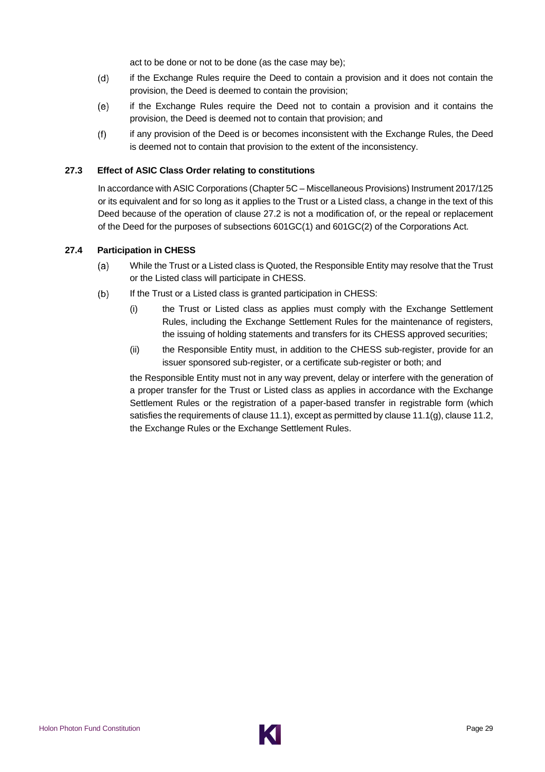act to be done or not to be done (as the case may be);

- $(d)$ if the Exchange Rules require the Deed to contain a provision and it does not contain the provision, the Deed is deemed to contain the provision;
- $(e)$ if the Exchange Rules require the Deed not to contain a provision and it contains the provision, the Deed is deemed not to contain that provision; and
- $(f)$ if any provision of the Deed is or becomes inconsistent with the Exchange Rules, the Deed is deemed not to contain that provision to the extent of the inconsistency.

# <span id="page-32-0"></span>**27.3 Effect of ASIC Class Order relating to constitutions**

In accordance with ASIC Corporations (Chapter 5C – Miscellaneous Provisions) Instrument 2017/125 or its equivalent and for so long as it applies to the Trust or a Listed class, a change in the text of this Deed because of the operation of clause [27.2](#page-31-4) is not a modification of, or the repeal or replacement of the Deed for the purposes of subsections 601GC(1) and 601GC(2) of the Corporations Act.

# <span id="page-32-1"></span>**27.4 Participation in CHESS**

- $(a)$ While the Trust or a Listed class is Quoted, the Responsible Entity may resolve that the Trust or the Listed class will participate in CHESS.
- $(b)$ If the Trust or a Listed class is granted participation in CHESS:
	- (i) the Trust or Listed class as applies must comply with the Exchange Settlement Rules, including the Exchange Settlement Rules for the maintenance of registers, the issuing of holding statements and transfers for its CHESS approved securities;
	- (ii) the Responsible Entity must, in addition to the CHESS sub-register, provide for an issuer sponsored sub-register, or a certificate sub-register or both; and

the Responsible Entity must not in any way prevent, delay or interfere with the generation of a proper transfer for the Trust or Listed class as applies in accordance with the Exchange Settlement Rules or the registration of a paper-based transfer in registrable form (which satisfies the requirements of clause [11.1\)](#page-12-3), except as permitted by clause [11.1\(g\),](#page-13-6) clause [11.2,](#page-13-0) the Exchange Rules or the Exchange Settlement Rules.